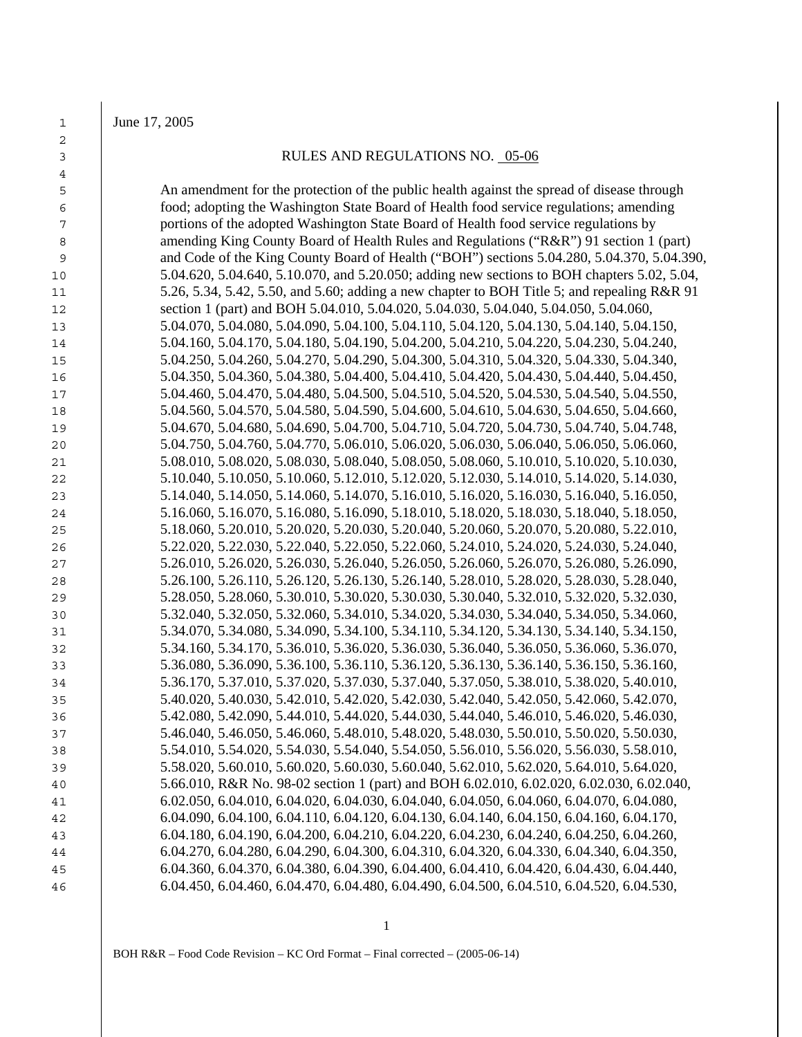June 17, 2005

## 3 RULES AND REGULATIONS NO. 05-06

An amendment for the protection of the public health against the spread of disease through food; adopting the Washington State Board of Health food service regulations; amending portions of the adopted Washington State Board of Health food service regulations by 8 amending King County Board of Health Rules and Regulations ("R&R") 91 section 1 (part) and Code of the King County Board of Health ("BOH") sections 5.04.280, 5.04.370, 5.04.390, 5.04.620, 5.04.640, 5.10.070, and 5.20.050; adding new sections to BOH chapters 5.02, 5.04, 11 5.26, 5.34, 5.42, 5.50, and 5.60; adding a new chapter to BOH Title 5; and repealing R&R 91 12 section 1 (part) and BOH 5.04.010, 5.04.020, 5.04.030, 5.04.040, 5.04.050, 5.04.060, 5.04.070, 5.04.080, 5.04.090, 5.04.100, 5.04.110, 5.04.120, 5.04.130, 5.04.140, 5.04.150, 5.04.160, 5.04.170, 5.04.180, 5.04.190, 5.04.200, 5.04.210, 5.04.220, 5.04.230, 5.04.240, 5.04.250, 5.04.260, 5.04.270, 5.04.290, 5.04.300, 5.04.310, 5.04.320, 5.04.330, 5.04.340, 5.04.350, 5.04.360, 5.04.380, 5.04.400, 5.04.410, 5.04.420, 5.04.430, 5.04.440, 5.04.450, 5.04.460, 5.04.470, 5.04.480, 5.04.500, 5.04.510, 5.04.520, 5.04.530, 5.04.540, 5.04.550, 5.04.560, 5.04.570, 5.04.580, 5.04.590, 5.04.600, 5.04.610, 5.04.630, 5.04.650, 5.04.660, 5.04.670, 5.04.680, 5.04.690, 5.04.700, 5.04.710, 5.04.720, 5.04.730, 5.04.740, 5.04.748, 5.04.750, 5.04.760, 5.04.770, 5.06.010, 5.06.020, 5.06.030, 5.06.040, 5.06.050, 5.06.060, 5.08.010, 5.08.020, 5.08.030, 5.08.040, 5.08.050, 5.08.060, 5.10.010, 5.10.020, 5.10.030, 5.10.040, 5.10.050, 5.10.060, 5.12.010, 5.12.020, 5.12.030, 5.14.010, 5.14.020, 5.14.030, 5.14.040, 5.14.050, 5.14.060, 5.14.070, 5.16.010, 5.16.020, 5.16.030, 5.16.040, 5.16.050, 5.16.060, 5.16.070, 5.16.080, 5.16.090, 5.18.010, 5.18.020, 5.18.030, 5.18.040, 5.18.050, 5.18.060, 5.20.010, 5.20.020, 5.20.030, 5.20.040, 5.20.060, 5.20.070, 5.20.080, 5.22.010, 5.22.020, 5.22.030, 5.22.040, 5.22.050, 5.22.060, 5.24.010, 5.24.020, 5.24.030, 5.24.040, 5.26.010, 5.26.020, 5.26.030, 5.26.040, 5.26.050, 5.26.060, 5.26.070, 5.26.080, 5.26.090, 5.26.100, 5.26.110, 5.26.120, 5.26.130, 5.26.140, 5.28.010, 5.28.020, 5.28.030, 5.28.040, 5.28.050, 5.28.060, 5.30.010, 5.30.020, 5.30.030, 5.30.040, 5.32.010, 5.32.020, 5.32.030, 5.32.040, 5.32.050, 5.32.060, 5.34.010, 5.34.020, 5.34.030, 5.34.040, 5.34.050, 5.34.060, 5.34.070, 5.34.080, 5.34.090, 5.34.100, 5.34.110, 5.34.120, 5.34.130, 5.34.140, 5.34.150, 5.34.160, 5.34.170, 5.36.010, 5.36.020, 5.36.030, 5.36.040, 5.36.050, 5.36.060, 5.36.070, 5.36.080, 5.36.090, 5.36.100, 5.36.110, 5.36.120, 5.36.130, 5.36.140, 5.36.150, 5.36.160, 5.36.170, 5.37.010, 5.37.020, 5.37.030, 5.37.040, 5.37.050, 5.38.010, 5.38.020, 5.40.010, 5.40.020, 5.40.030, 5.42.010, 5.42.020, 5.42.030, 5.42.040, 5.42.050, 5.42.060, 5.42.070, 5.42.080, 5.42.090, 5.44.010, 5.44.020, 5.44.030, 5.44.040, 5.46.010, 5.46.020, 5.46.030, 5.46.040, 5.46.050, 5.46.060, 5.48.010, 5.48.020, 5.48.030, 5.50.010, 5.50.020, 5.50.030, 5.54.010, 5.54.020, 5.54.030, 5.54.040, 5.54.050, 5.56.010, 5.56.020, 5.56.030, 5.58.010, 5.58.020, 5.60.010, 5.60.020, 5.60.030, 5.60.040, 5.62.010, 5.62.020, 5.64.010, 5.64.020, 5.66.010, R&R No. 98-02 section 1 (part) and BOH 6.02.010, 6.02.020, 6.02.030, 6.02.040, 6.02.050, 6.04.010, 6.04.020, 6.04.030, 6.04.040, 6.04.050, 6.04.060, 6.04.070, 6.04.080, 6.04.090, 6.04.100, 6.04.110, 6.04.120, 6.04.130, 6.04.140, 6.04.150, 6.04.160, 6.04.170, 6.04.180, 6.04.190, 6.04.200, 6.04.210, 6.04.220, 6.04.230, 6.04.240, 6.04.250, 6.04.260, 6.04.270, 6.04.280, 6.04.290, 6.04.300, 6.04.310, 6.04.320, 6.04.330, 6.04.340, 6.04.350, 6.04.360, 6.04.370, 6.04.380, 6.04.390, 6.04.400, 6.04.410, 6.04.420, 6.04.430, 6.04.440, 6.04.450, 6.04.460, 6.04.470, 6.04.480, 6.04.490, 6.04.500, 6.04.510, 6.04.520, 6.04.530,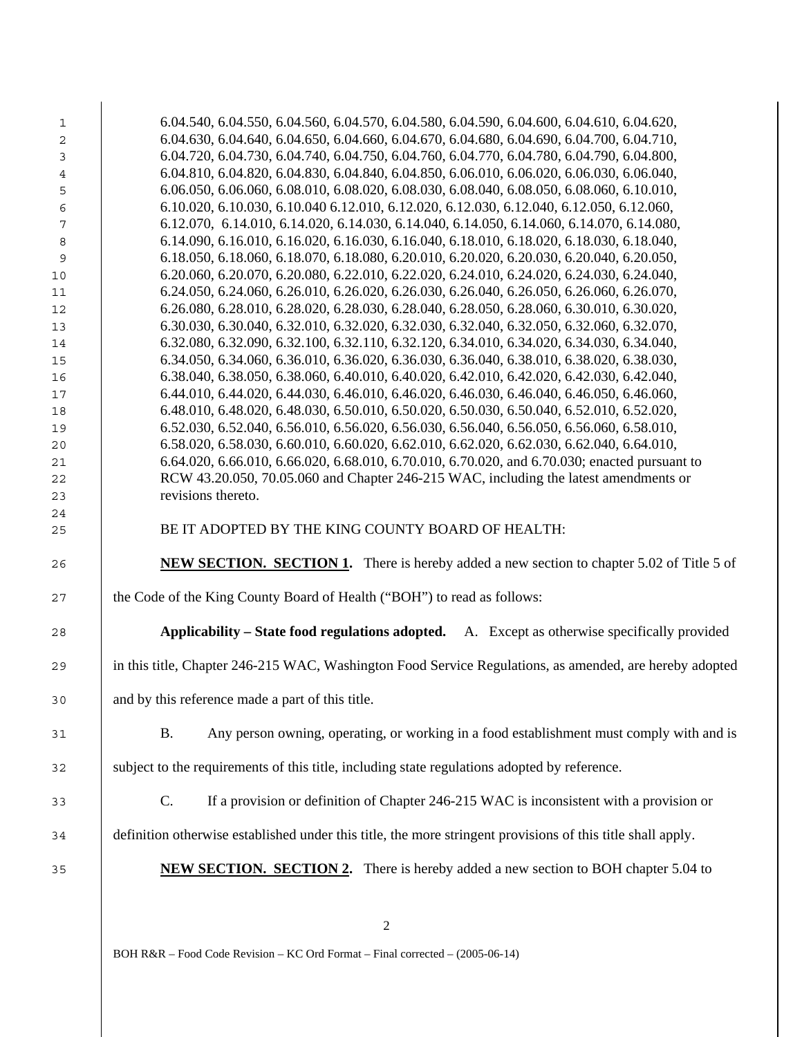| $\mathbf{1}$ | 6.04.540, 6.04.550, 6.04.560, 6.04.570, 6.04.580, 6.04.590, 6.04.600, 6.04.610, 6.04.620,                   |  |  |  |
|--------------|-------------------------------------------------------------------------------------------------------------|--|--|--|
| 2            | 6.04.630, 6.04.640, 6.04.650, 6.04.660, 6.04.670, 6.04.680, 6.04.690, 6.04.700, 6.04.710,                   |  |  |  |
| 3            | 6.04.720, 6.04.730, 6.04.740, 6.04.750, 6.04.760, 6.04.770, 6.04.780, 6.04.790, 6.04.800,                   |  |  |  |
| 4            | 6.04.810, 6.04.820, 6.04.830, 6.04.840, 6.04.850, 6.06.010, 6.06.020, 6.06.030, 6.06.040,                   |  |  |  |
| 5            | 6.06.050, 6.06.060, 6.08.010, 6.08.020, 6.08.030, 6.08.040, 6.08.050, 6.08.060, 6.10.010,                   |  |  |  |
| 6            | 6.10.020, 6.10.030, 6.10.040 6.12.010, 6.12.020, 6.12.030, 6.12.040, 6.12.050, 6.12.060,                    |  |  |  |
| 7            | 6.12.070, 6.14.010, 6.14.020, 6.14.030, 6.14.040, 6.14.050, 6.14.060, 6.14.070, 6.14.080,                   |  |  |  |
| $\,8\,$      | 6.14.090, 6.16.010, 6.16.020, 6.16.030, 6.16.040, 6.18.010, 6.18.020, 6.18.030, 6.18.040,                   |  |  |  |
| $\mathsf 9$  | 6.18.050, 6.18.060, 6.18.070, 6.18.080, 6.20.010, 6.20.020, 6.20.030, 6.20.040, 6.20.050,                   |  |  |  |
| 10           | 6.20.060, 6.20.070, 6.20.080, 6.22.010, 6.22.020, 6.24.010, 6.24.020, 6.24.030, 6.24.040,                   |  |  |  |
| 11           | 6.24.050, 6.24.060, 6.26.010, 6.26.020, 6.26.030, 6.26.040, 6.26.050, 6.26.060, 6.26.070,                   |  |  |  |
| 12           | 6.26.080, 6.28.010, 6.28.020, 6.28.030, 6.28.040, 6.28.050, 6.28.060, 6.30.010, 6.30.020,                   |  |  |  |
| 13           | 6.30.030, 6.30.040, 6.32.010, 6.32.020, 6.32.030, 6.32.040, 6.32.050, 6.32.060, 6.32.070,                   |  |  |  |
| 14           | 6.32.080, 6.32.090, 6.32.100, 6.32.110, 6.32.120, 6.34.010, 6.34.020, 6.34.030, 6.34.040,                   |  |  |  |
| 15           | 6.34.050, 6.34.060, 6.36.010, 6.36.020, 6.36.030, 6.36.040, 6.38.010, 6.38.020, 6.38.030,                   |  |  |  |
| 16           | 6.38.040, 6.38.050, 6.38.060, 6.40.010, 6.40.020, 6.42.010, 6.42.020, 6.42.030, 6.42.040,                   |  |  |  |
| 17           | 6.44.010, 6.44.020, 6.44.030, 6.46.010, 6.46.020, 6.46.030, 6.46.040, 6.46.050, 6.46.060,                   |  |  |  |
| 18           | 6.48.010, 6.48.020, 6.48.030, 6.50.010, 6.50.020, 6.50.030, 6.50.040, 6.52.010, 6.52.020,                   |  |  |  |
| 19           | 6.52.030, 6.52.040, 6.56.010, 6.56.020, 6.56.030, 6.56.040, 6.56.050, 6.56.060, 6.58.010,                   |  |  |  |
| 20           | 6.58.020, 6.58.030, 6.60.010, 6.60.020, 6.62.010, 6.62.020, 6.62.030, 6.62.040, 6.64.010,                   |  |  |  |
| 21           | 6.64.020, 6.66.010, 6.66.020, 6.68.010, 6.70.010, 6.70.020, and 6.70.030; enacted pursuant to               |  |  |  |
| 22           | RCW 43.20.050, 70.05.060 and Chapter 246-215 WAC, including the latest amendments or                        |  |  |  |
| 23           | revisions thereto.                                                                                          |  |  |  |
| 24           |                                                                                                             |  |  |  |
| 25           | BE IT ADOPTED BY THE KING COUNTY BOARD OF HEALTH:                                                           |  |  |  |
|              |                                                                                                             |  |  |  |
| 26           | <b>NEW SECTION. SECTION 1.</b> There is hereby added a new section to chapter 5.02 of Title 5 of            |  |  |  |
|              |                                                                                                             |  |  |  |
| 27           | the Code of the King County Board of Health ("BOH") to read as follows:                                     |  |  |  |
| 28           | Applicability – State food regulations adopted. A. Except as otherwise specifically provided                |  |  |  |
|              |                                                                                                             |  |  |  |
| 29           | in this title, Chapter 246-215 WAC, Washington Food Service Regulations, as amended, are hereby adopted     |  |  |  |
|              |                                                                                                             |  |  |  |
| 30           | and by this reference made a part of this title.                                                            |  |  |  |
|              |                                                                                                             |  |  |  |
| 31           | Any person owning, operating, or working in a food establishment must comply with and is<br><b>B.</b>       |  |  |  |
|              |                                                                                                             |  |  |  |
| 32           | subject to the requirements of this title, including state regulations adopted by reference.                |  |  |  |
|              |                                                                                                             |  |  |  |
| 33           | C.<br>If a provision or definition of Chapter 246-215 WAC is inconsistent with a provision or               |  |  |  |
|              |                                                                                                             |  |  |  |
| 34           | definition otherwise established under this title, the more stringent provisions of this title shall apply. |  |  |  |
|              |                                                                                                             |  |  |  |
| 35           | <b>NEW SECTION. SECTION 2.</b> There is hereby added a new section to BOH chapter 5.04 to                   |  |  |  |
|              |                                                                                                             |  |  |  |
|              |                                                                                                             |  |  |  |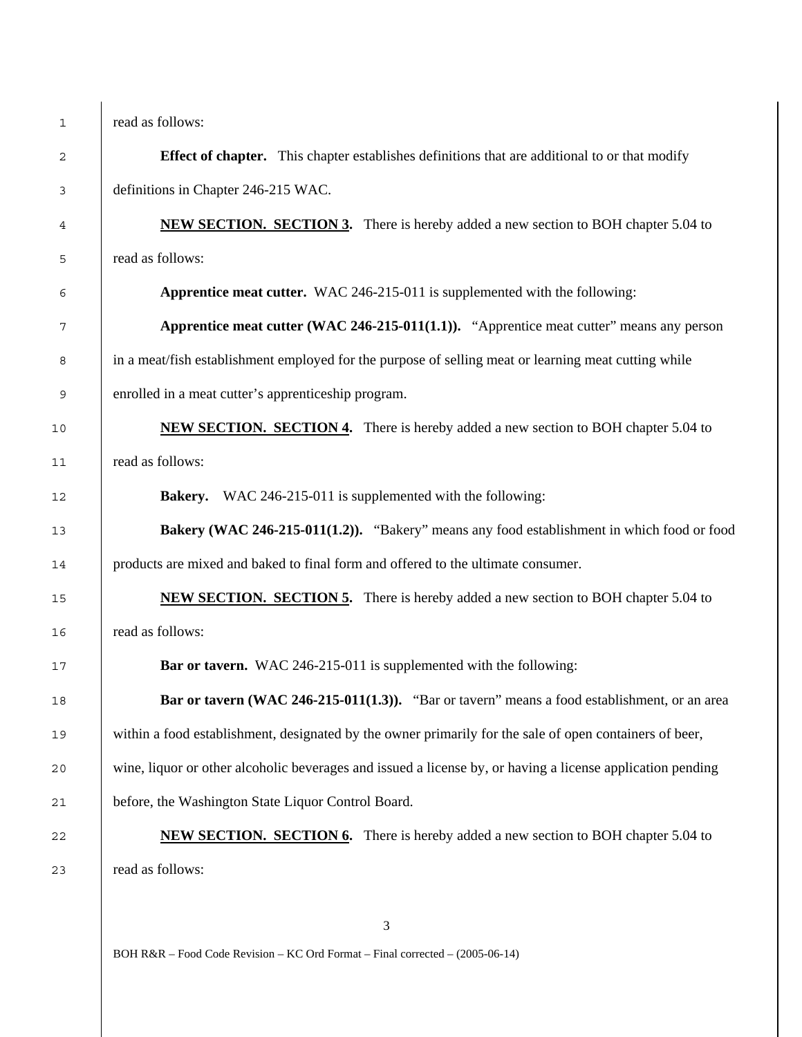read as follows:

**Effect of chapter.** This chapter establishes definitions that are additional to or that modify definitions in Chapter 246-215 WAC. **A REW SECTION. SECTION 3.** There is hereby added a new section to BOH chapter 5.04 to read as follows: **Apprentice meat cutter.** WAC 246-215-011 is supplemented with the following: **Apprentice meat cutter (WAC 246-215-011(1.1)).** "Apprentice meat cutter" means any person in a meat/fish establishment employed for the purpose of selling meat or learning meat cutting while enrolled in a meat cutter's apprenticeship program. **NEW SECTION. SECTION 4.** There is hereby added a new section to BOH chapter 5.04 to read as follows: **Bakery.** WAC 246-215-011 is supplemented with the following: **Bakery (WAC 246-215-011(1.2)).** "Bakery" means any food establishment in which food or food products are mixed and baked to final form and offered to the ultimate consumer. **NEW SECTION. SECTION 5.** There is hereby added a new section to BOH chapter 5.04 to read as follows: **Bar or tavern.** WAC 246-215-011 is supplemented with the following: **Bar or tavern (WAC 246-215-011(1.3)).** "Bar or tavern" means a food establishment, or an area 19 within a food establishment, designated by the owner primarily for the sale of open containers of beer, wine, liquor or other alcoholic beverages and issued a license by, or having a license application pending before, the Washington State Liquor Control Board. **NEW SECTION. SECTION 6.** There is hereby added a new section to BOH chapter 5.04 to read as follows:

BOH R&R – Food Code Revision – KC Ord Format – Final corrected – (2005-06-14)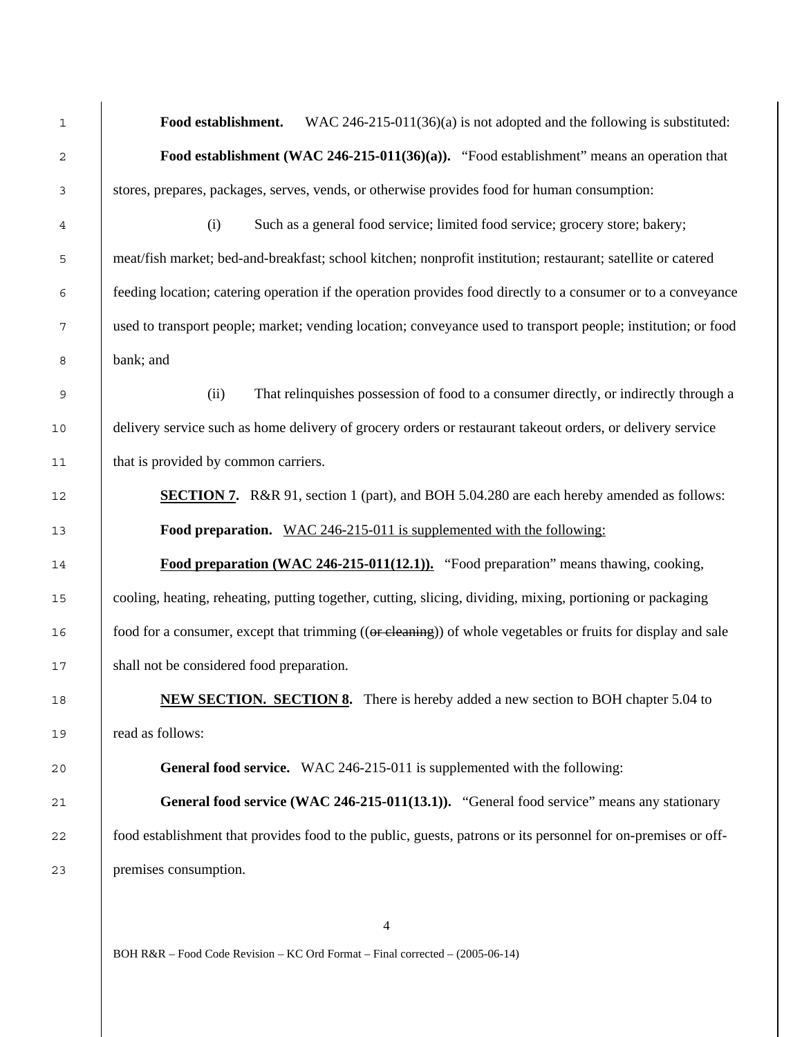**Food establishment.** WAC 246-215-011(36)(a) is not adopted and the following is substituted: **Food establishment (WAC 246-215-011(36)(a)).** "Food establishment" means an operation that stores, prepares, packages, serves, vends, or otherwise provides food for human consumption: (i) Such as a general food service; limited food service; grocery store; bakery; meat/fish market; bed-and-breakfast; school kitchen; nonprofit institution; restaurant; satellite or catered feeding location; catering operation if the operation provides food directly to a consumer or to a conveyance used to transport people; market; vending location; conveyance used to transport people; institution; or food bank; and (ii) That relinquishes possession of food to a consumer directly, or indirectly through a delivery service such as home delivery of grocery orders or restaurant takeout orders, or delivery service 11 that is provided by common carriers. **SECTION 7.** R&R 91, section 1 (part), and BOH 5.04.280 are each hereby amended as follows: **Food preparation.** WAC 246-215-011 is supplemented with the following: **Food preparation (WAC 246-215-011(12.1)).** "Food preparation" means thawing, cooking, cooling, heating, reheating, putting together, cutting, slicing, dividing, mixing, portioning or packaging 16 food for a consumer, except that trimming ((or cleaning)) of whole vegetables or fruits for display and sale shall not be considered food preparation. **NEW SECTION. SECTION 8.** There is hereby added a new section to BOH chapter 5.04 to read as follows: **General food service.** WAC 246-215-011 is supplemented with the following: **General food service (WAC 246-215-011(13.1)).** "General food service" means any stationary 22 food establishment that provides food to the public, guests, patrons or its personnel for on-premises or off-premises consumption.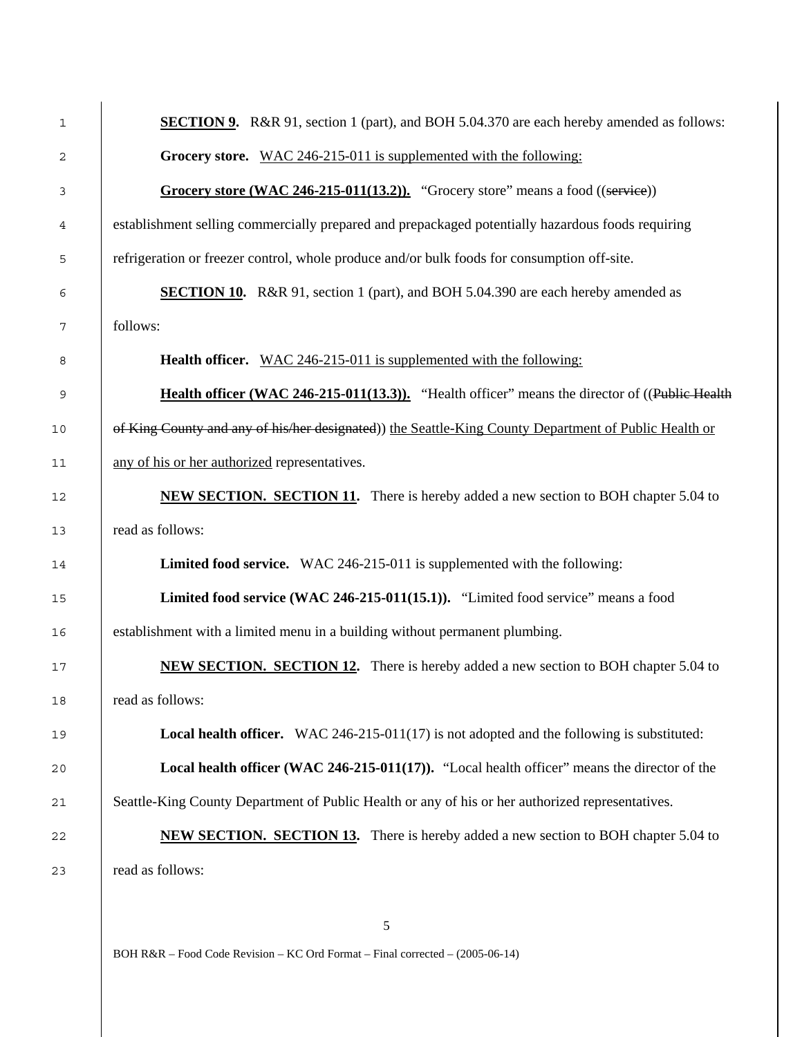| 1  | <b>SECTION 9.</b> R&R 91, section 1 (part), and BOH 5.04.370 are each hereby amended as follows:     |  |  |
|----|------------------------------------------------------------------------------------------------------|--|--|
| 2  | Grocery store. WAC 246-215-011 is supplemented with the following:                                   |  |  |
| 3  | Grocery store (WAC 246-215-011(13.2)). "Grocery store" means a food $((\text{service}))$             |  |  |
| 4  | establishment selling commercially prepared and prepackaged potentially hazardous foods requiring    |  |  |
| 5  | refrigeration or freezer control, whole produce and/or bulk foods for consumption off-site.          |  |  |
| 6  | <b>SECTION 10.</b> R&R 91, section 1 (part), and BOH 5.04.390 are each hereby amended as             |  |  |
| 7  | follows:                                                                                             |  |  |
| 8  | <b>Health officer.</b> WAC 246-215-011 is supplemented with the following:                           |  |  |
| 9  | Health officer (WAC 246-215-011(13.3)). "Health officer" means the director of ((Public Health       |  |  |
| 10 | of King County and any of his/her designated) the Seattle-King County Department of Public Health or |  |  |
| 11 | any of his or her authorized representatives.                                                        |  |  |
| 12 | <b>NEW SECTION. SECTION 11.</b> There is hereby added a new section to BOH chapter 5.04 to           |  |  |
| 13 | read as follows:                                                                                     |  |  |
| 14 | Limited food service. WAC 246-215-011 is supplemented with the following:                            |  |  |
| 15 | Limited food service (WAC 246-215-011(15.1)). "Limited food service" means a food                    |  |  |
| 16 | establishment with a limited menu in a building without permanent plumbing.                          |  |  |
| 17 | <b>NEW SECTION. SECTION 12.</b> There is hereby added a new section to BOH chapter 5.04 to           |  |  |
| 18 | read as follows:                                                                                     |  |  |
| 19 | <b>Local health officer.</b> WAC 246-215-011(17) is not adopted and the following is substituted:    |  |  |
| 20 | Local health officer (WAC 246-215-011(17)). "Local health officer" means the director of the         |  |  |
| 21 | Seattle-King County Department of Public Health or any of his or her authorized representatives.     |  |  |
| 22 | <b>NEW SECTION. SECTION 13.</b> There is hereby added a new section to BOH chapter 5.04 to           |  |  |
| 23 | read as follows:                                                                                     |  |  |
|    |                                                                                                      |  |  |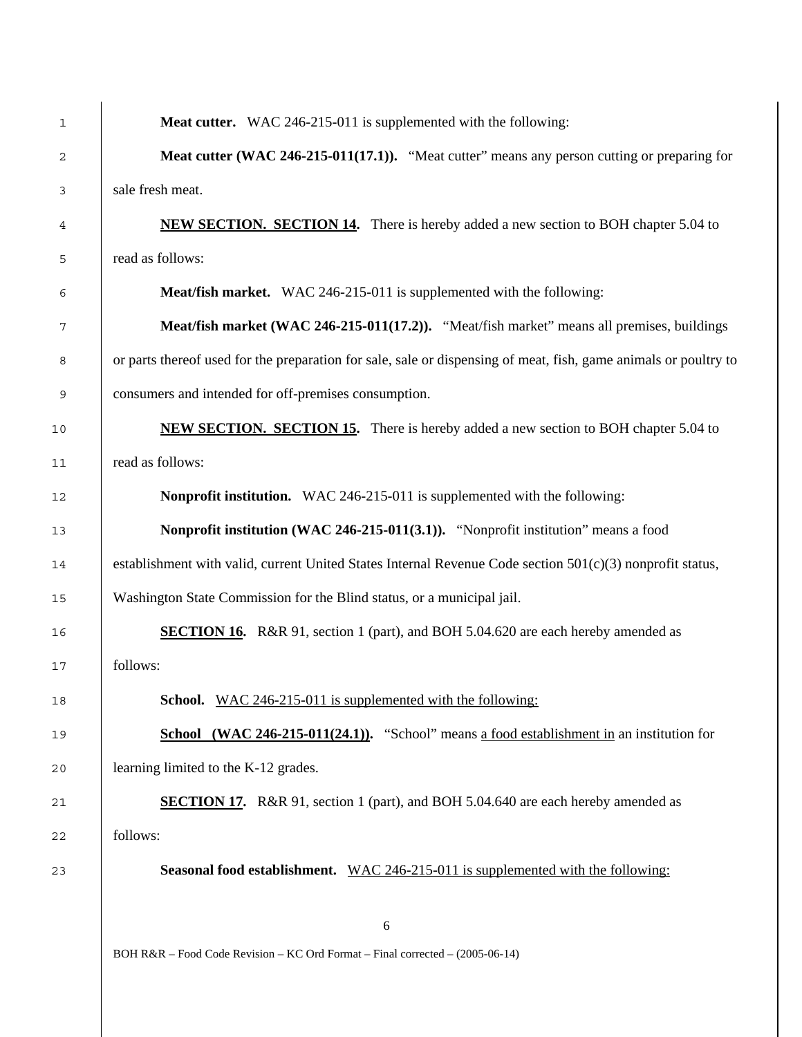| 1    | Meat cutter. WAC 246-215-011 is supplemented with the following:                                                 |  |  |
|------|------------------------------------------------------------------------------------------------------------------|--|--|
| 2    | Meat cutter (WAC 246-215-011(17.1)). "Meat cutter" means any person cutting or preparing for                     |  |  |
| 3    | sale fresh meat.                                                                                                 |  |  |
| 4    | <b>NEW SECTION. SECTION 14.</b> There is hereby added a new section to BOH chapter 5.04 to                       |  |  |
| 5    | read as follows:                                                                                                 |  |  |
| 6    | Meat/fish market. WAC 246-215-011 is supplemented with the following:                                            |  |  |
| 7    | Meat/fish market (WAC 246-215-011(17.2)). "Meat/fish market" means all premises, buildings                       |  |  |
| 8    | or parts thereof used for the preparation for sale, sale or dispensing of meat, fish, game animals or poultry to |  |  |
| 9    | consumers and intended for off-premises consumption.                                                             |  |  |
| 10   | <b>NEW SECTION. SECTION 15.</b> There is hereby added a new section to BOH chapter 5.04 to                       |  |  |
| 11   | read as follows:                                                                                                 |  |  |
| 12   | Nonprofit institution. WAC 246-215-011 is supplemented with the following:                                       |  |  |
| 13   | Nonprofit institution (WAC 246-215-011(3.1)). "Nonprofit institution" means a food                               |  |  |
| 14   | establishment with valid, current United States Internal Revenue Code section 501(c)(3) nonprofit status,        |  |  |
| 15   | Washington State Commission for the Blind status, or a municipal jail.                                           |  |  |
| 16   | <b>SECTION 16.</b> R&R 91, section 1 (part), and BOH 5.04.620 are each hereby amended as                         |  |  |
| 17   | follows:                                                                                                         |  |  |
| $18$ | <b>School.</b> WAC 246-215-011 is supplemented with the following:                                               |  |  |
| 19   | <b>School</b> (WAC 246-215-011(24.1)). "School" means a food establishment in an institution for                 |  |  |
| 20   | learning limited to the K-12 grades.                                                                             |  |  |
| 21   | <b>SECTION 17.</b> R&R 91, section 1 (part), and BOH 5.04.640 are each hereby amended as                         |  |  |
| 22   | follows:                                                                                                         |  |  |
| 23   | <b>Seasonal food establishment.</b> WAC 246-215-011 is supplemented with the following:                          |  |  |
|      |                                                                                                                  |  |  |
|      | 6<br>BOH R&R – Food Code Revision – KC Ord Format – Final corrected – (2005-06-14)                               |  |  |
|      |                                                                                                                  |  |  |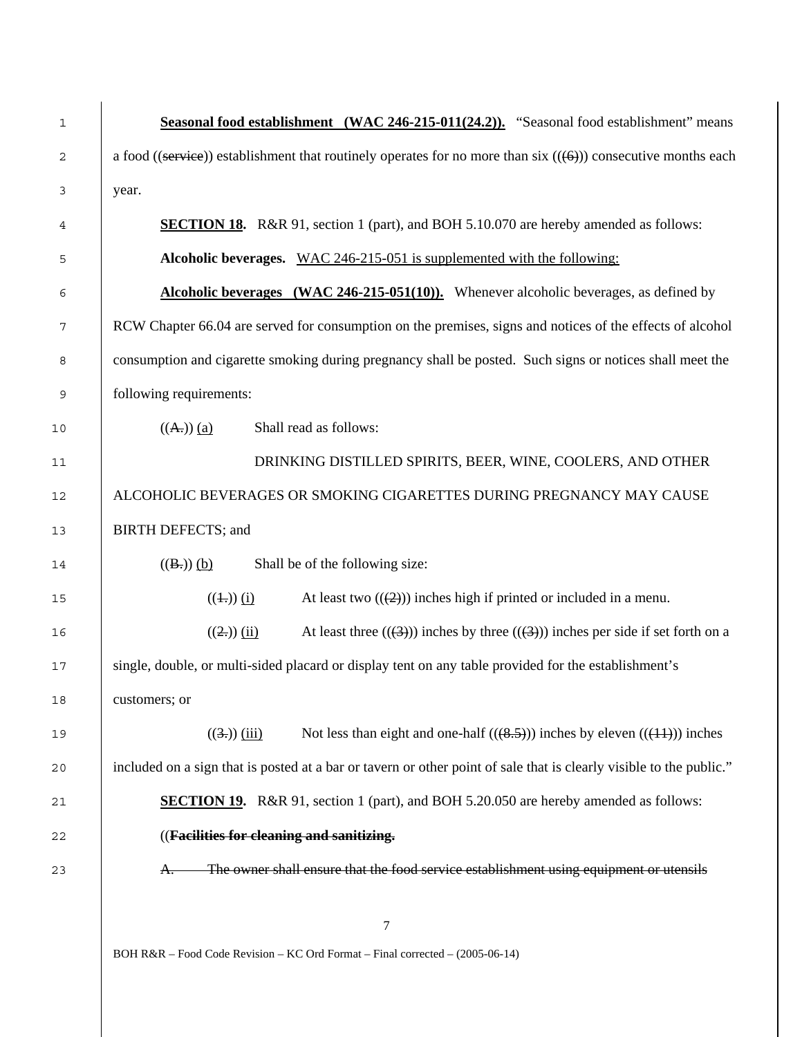| $1\,$ | Seasonal food establishment (WAC 246-215-011(24.2)). "Seasonal food establishment" means                            |  |  |  |
|-------|---------------------------------------------------------------------------------------------------------------------|--|--|--|
| 2     | a food ((service)) establishment that routinely operates for no more than six $((6))$ consecutive months each       |  |  |  |
| 3     | year.                                                                                                               |  |  |  |
| 4     | <b>SECTION 18.</b> R&R 91, section 1 (part), and BOH 5.10.070 are hereby amended as follows:                        |  |  |  |
| 5     | Alcoholic beverages. WAC 246-215-051 is supplemented with the following:                                            |  |  |  |
| 6     | <b>Alcoholic beverages</b> (WAC 246-215-051(10)). Whenever alcoholic beverages, as defined by                       |  |  |  |
| 7     | RCW Chapter 66.04 are served for consumption on the premises, signs and notices of the effects of alcohol           |  |  |  |
| 8     | consumption and cigarette smoking during pregnancy shall be posted. Such signs or notices shall meet the            |  |  |  |
| 9     | following requirements:                                                                                             |  |  |  |
| 10    | Shall read as follows:<br>$((A))$ (a)                                                                               |  |  |  |
| 11    | DRINKING DISTILLED SPIRITS, BEER, WINE, COOLERS, AND OTHER                                                          |  |  |  |
| 12    | ALCOHOLIC BEVERAGES OR SMOKING CIGARETTES DURING PREGNANCY MAY CAUSE                                                |  |  |  |
| 13    | <b>BIRTH DEFECTS; and</b>                                                                                           |  |  |  |
| 14    | Shall be of the following size:<br>$((B))$ (b)                                                                      |  |  |  |
| 15    | At least two $((2))$ inches high if printed or included in a menu.<br>$((\pm))$ (i)                                 |  |  |  |
| 16    | $((2.))$ (ii)<br>At least three $((3))$ inches by three $((3))$ inches per side if set forth on a                   |  |  |  |
| 17    | single, double, or multi-sided placard or display tent on any table provided for the establishment's                |  |  |  |
| 18    | customers; or                                                                                                       |  |  |  |
| 19    | $((3))$ (iii)<br>Not less than eight and one-half $((8.5))$ inches by eleven $((11))$ inches                        |  |  |  |
| 20    | included on a sign that is posted at a bar or tavern or other point of sale that is clearly visible to the public." |  |  |  |
| 21    | <b>SECTION 19.</b> R&R 91, section 1 (part), and BOH 5.20.050 are hereby amended as follows:                        |  |  |  |
| 22    | ((Facilities for cleaning and sanitizing.                                                                           |  |  |  |
| 23    | The owner shall ensure that the food service establishment using equipment or utensils<br>A.                        |  |  |  |
|       |                                                                                                                     |  |  |  |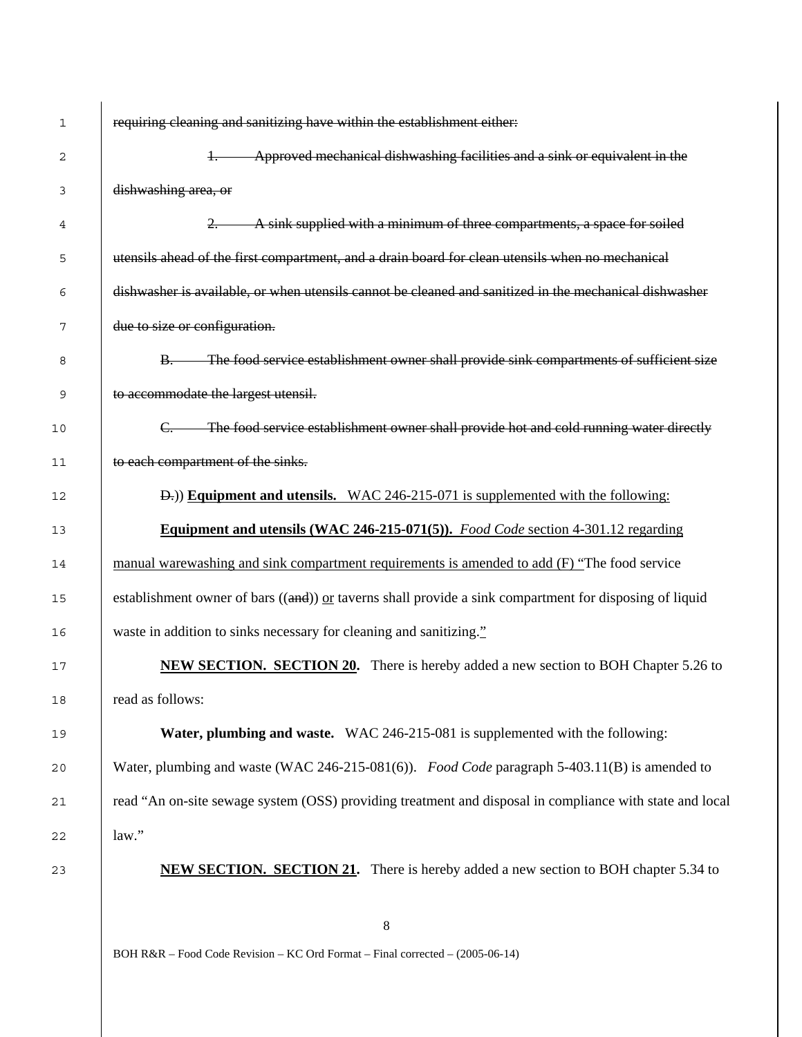| 1  | requiring cleaning and sanitizing have within the establishment either:                                   |  |  |
|----|-----------------------------------------------------------------------------------------------------------|--|--|
| 2  | Approved mechanical dishwashing facilities and a sink or equivalent in the<br>$+\$                        |  |  |
| 3  | dishwashing area, or                                                                                      |  |  |
| 4  | A sink supplied with a minimum of three compartments, a space for soiled<br>2.                            |  |  |
| 5  | utensils ahead of the first compartment, and a drain board for clean utensils when no mechanical          |  |  |
| 6  | dishwasher is available, or when utensils cannot be cleaned and sanitized in the mechanical dishwasher    |  |  |
| 7  | due to size or configuration.                                                                             |  |  |
| 8  | B. The food service establishment owner shall provide sink compartments of sufficient size                |  |  |
| 9  | to accommodate the largest utensil.                                                                       |  |  |
| 10 | C. The food service establishment owner shall provide hot and cold running water directly                 |  |  |
| 11 | to each compartment of the sinks.                                                                         |  |  |
| 12 | <b>D.</b> ) Equipment and utensils. WAC 246-215-071 is supplemented with the following:                   |  |  |
| 13 | <b>Equipment and utensils (WAC 246-215-071(5)).</b> Food Code section 4-301.12 regarding                  |  |  |
| 14 | manual warewashing and sink compartment requirements is amended to add $(F)$ "The food service"           |  |  |
| 15 | establishment owner of bars $((and))$ or taverns shall provide a sink compartment for disposing of liquid |  |  |
| 16 | waste in addition to sinks necessary for cleaning and sanitizing."                                        |  |  |
| 17 | <b>NEW SECTION. SECTION 20.</b> There is hereby added a new section to BOH Chapter 5.26 to                |  |  |
| 18 | read as follows:                                                                                          |  |  |
| 19 | <b>Water, plumbing and waste.</b> WAC 246-215-081 is supplemented with the following:                     |  |  |
| 20 | Water, plumbing and waste (WAC 246-215-081(6)). Food Code paragraph 5-403.11(B) is amended to             |  |  |
| 21 | read "An on-site sewage system (OSS) providing treatment and disposal in compliance with state and local  |  |  |
| 22 | law."                                                                                                     |  |  |
| 23 | <b>NEW SECTION. SECTION 21.</b> There is hereby added a new section to BOH chapter 5.34 to                |  |  |
|    | 8                                                                                                         |  |  |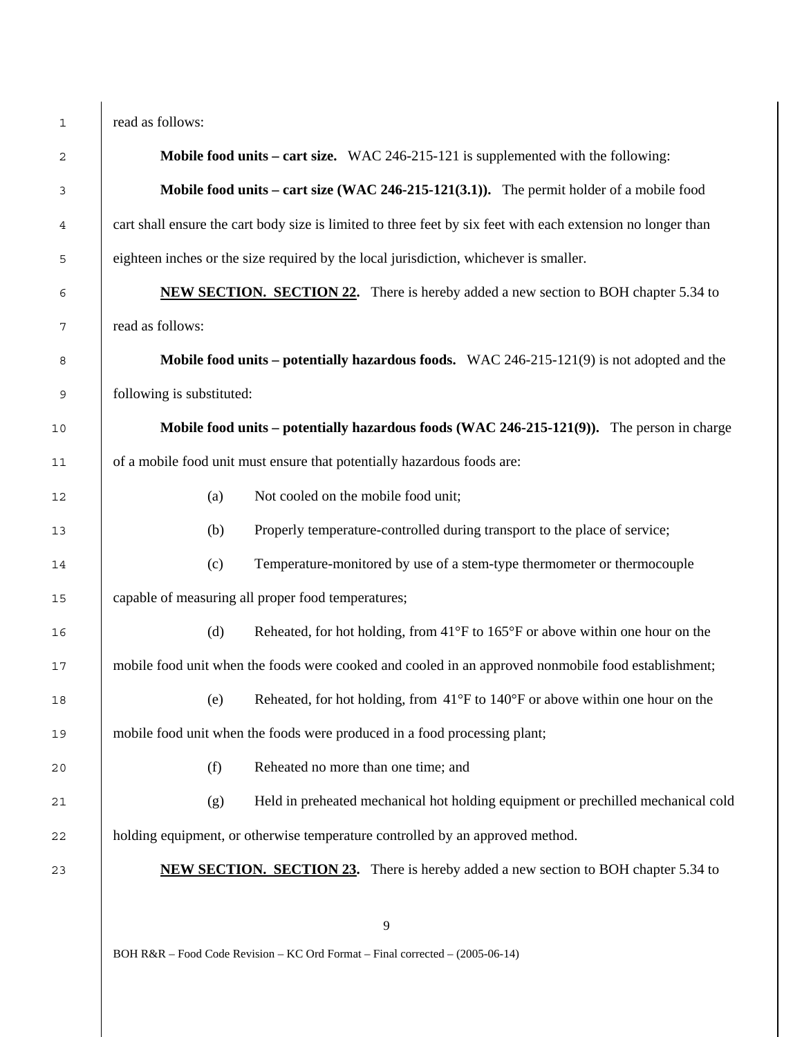| 1    | read as follows:                                                                                             |  |  |
|------|--------------------------------------------------------------------------------------------------------------|--|--|
| 2    | <b>Mobile food units – cart size.</b> WAC 246-215-121 is supplemented with the following:                    |  |  |
| 3    | <b>Mobile food units – cart size (WAC 246-215-121(3.1)).</b> The permit holder of a mobile food              |  |  |
| 4    | cart shall ensure the cart body size is limited to three feet by six feet with each extension no longer than |  |  |
| 5    | eighteen inches or the size required by the local jurisdiction, whichever is smaller.                        |  |  |
| 6    | <b>NEW SECTION. SECTION 22.</b> There is hereby added a new section to BOH chapter 5.34 to                   |  |  |
| 7    | read as follows:                                                                                             |  |  |
| 8    | <b>Mobile food units – potentially hazardous foods.</b> WAC 246-215-121(9) is not adopted and the            |  |  |
| 9    | following is substituted:                                                                                    |  |  |
| $10$ | Mobile food units – potentially hazardous foods (WAC 246-215-121(9)). The person in charge                   |  |  |
| 11   | of a mobile food unit must ensure that potentially hazardous foods are:                                      |  |  |
| 12   | Not cooled on the mobile food unit;<br>(a)                                                                   |  |  |
| 13   | Properly temperature-controlled during transport to the place of service;<br>(b)                             |  |  |
| 14   | Temperature-monitored by use of a stem-type thermometer or thermocouple<br>(c)                               |  |  |
| 15   | capable of measuring all proper food temperatures;                                                           |  |  |
| 16   | (d)<br>Reheated, for hot holding, from $41^{\circ}$ F to $165^{\circ}$ F or above within one hour on the     |  |  |
| 17   | mobile food unit when the foods were cooked and cooled in an approved nonmobile food establishment;          |  |  |
| 18   | Reheated, for hot holding, from $41^{\circ}$ F to $140^{\circ}$ F or above within one hour on the<br>(e)     |  |  |
| 19   | mobile food unit when the foods were produced in a food processing plant;                                    |  |  |
| 20   | (f)<br>Reheated no more than one time; and                                                                   |  |  |
| 21   | Held in preheated mechanical hot holding equipment or prechilled mechanical cold<br>(g)                      |  |  |
| 22   | holding equipment, or otherwise temperature controlled by an approved method.                                |  |  |
| 23   | <b>NEW SECTION. SECTION 23.</b> There is hereby added a new section to BOH chapter 5.34 to                   |  |  |
|      |                                                                                                              |  |  |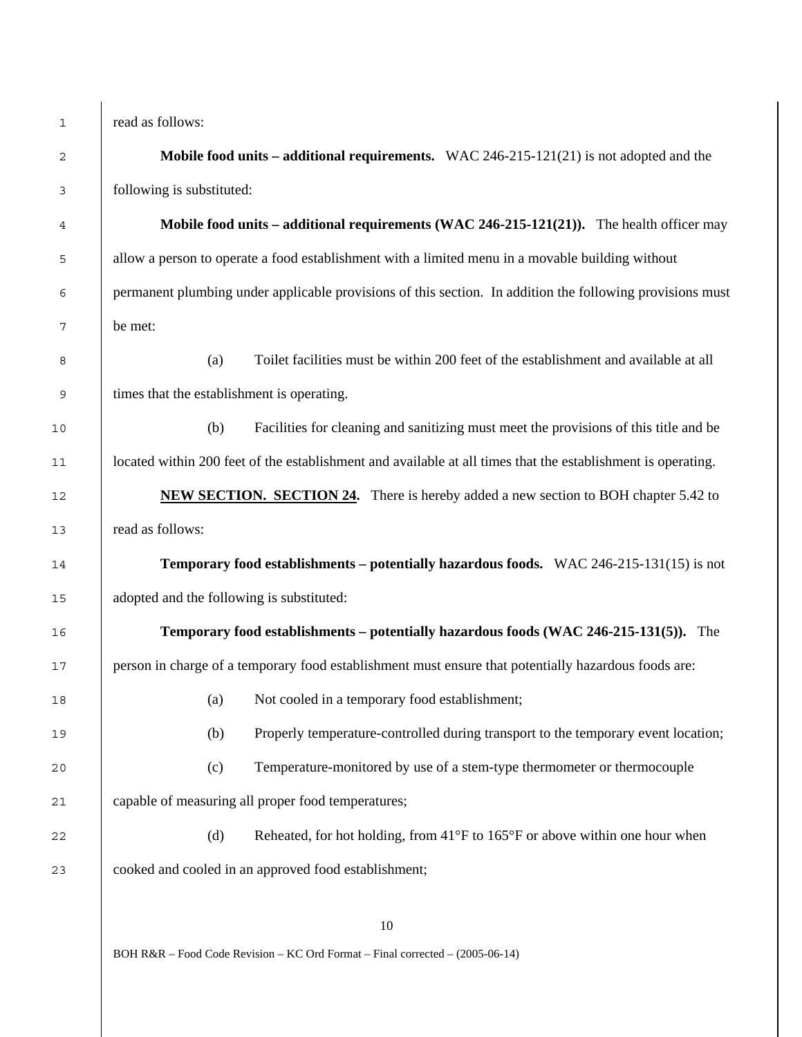|                | $\overline{\mathbf{c}}$                   |
|----------------|-------------------------------------------|
|                | 3                                         |
|                | 4                                         |
|                | 5                                         |
|                | 6                                         |
|                | $\overline{\phantom{a}}$                  |
|                | 8                                         |
|                | 9<br>j                                    |
| $\mathbf{1}$ ( | $\mathfrak z$                             |
| L              | $\mathbf 1$                               |
| $\mathbf 1$    | $\overline{2}$                            |
| 1              | 3<br>J                                    |
| 1              | $\overline{4}$                            |
|                | 15                                        |
|                | 16                                        |
| $\mathbf 1$    | Í<br>7                                    |
|                | 18                                        |
| $\mathbf{1}$   | 9                                         |
|                | $\mathcal{C}$<br>$\overline{\phantom{a}}$ |
|                |                                           |

read as follows:

2 **Mobile food units – additional requirements.** WAC 246-215-121(21) is not adopted and the following is substituted:

**Mobile food units – additional requirements (WAC 246-215-121(21)).** The health officer may 5 allow a person to operate a food establishment with a limited menu in a movable building without 6 permanent plumbing under applicable provisions of this section. In addition the following provisions must be met:

8 (a) Toilet facilities must be within 200 feet of the establishment and available at all times that the establishment is operating.

10 (b) Facilities for cleaning and sanitizing must meet the provisions of this title and be located within 200 feet of the establishment and available at all times that the establishment is operating.

**NEW SECTION. SECTION 24.** There is hereby added a new section to BOH chapter 5.42 to read as follows:

14 **Temporary food establishments – potentially hazardous foods.** WAC 246-215-131(15) is not adopted and the following is substituted:

16 **Temporary food establishments – potentially hazardous foods (WAC 246-215-131(5)).** The 17 person in charge of a temporary food establishment must ensure that potentially hazardous foods are:

- (a) Not cooled in a temporary food establishment;
- 19 (b) Properly temperature-controlled during transport to the temporary event location;
- 20 (c) Temperature-monitored by use of a stem-type thermometer or thermocouple 21 capable of measuring all proper food temperatures;
- 22 (d) Reheated, for hot holding, from 41°F to 165°F or above within one hour when 23 cooked and cooled in an approved food establishment;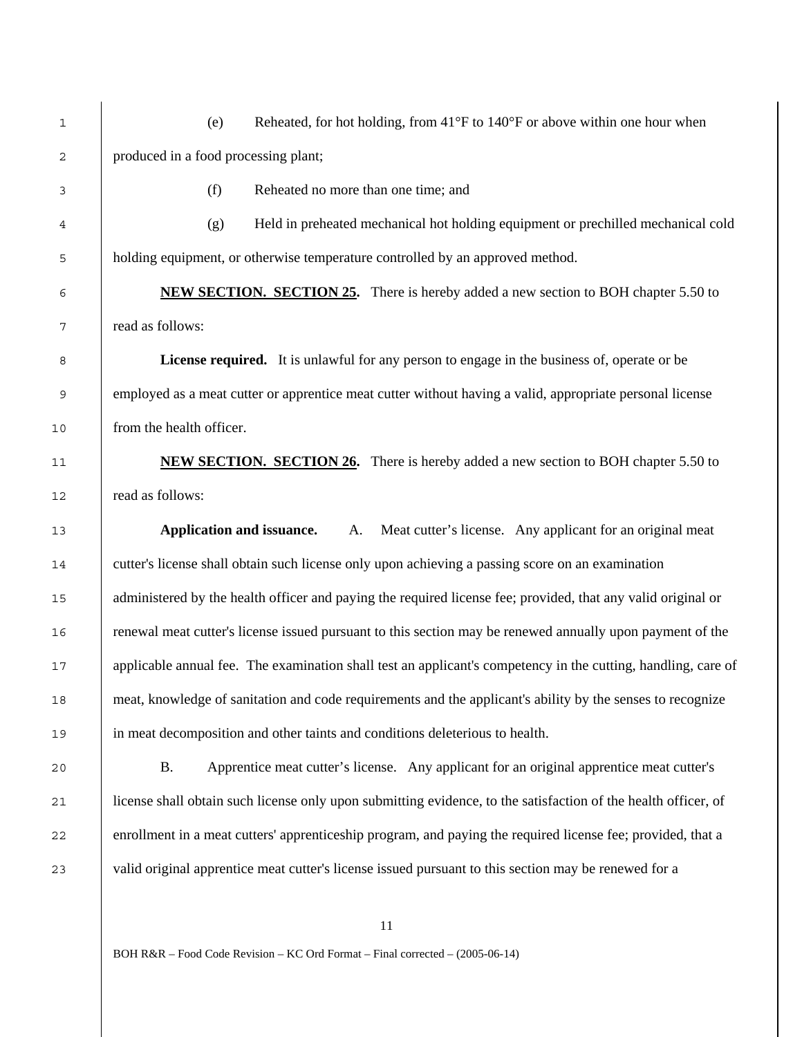1 (e) Reheated, for hot holding, from 41°F to 140°F or above within one hour when produced in a food processing plant; (f) Reheated no more than one time; and (g) Held in preheated mechanical hot holding equipment or prechilled mechanical cold holding equipment, or otherwise temperature controlled by an approved method. **6 <b>NEW SECTION.** SECTION 25. There is hereby added a new section to BOH chapter 5.50 to read as follows: **License required.** It is unlawful for any person to engage in the business of, operate or be 9 employed as a meat cutter or apprentice meat cutter without having a valid, appropriate personal license from the health officer. **NEW SECTION. SECTION 26.** There is hereby added a new section to BOH chapter 5.50 to read as follows: **Application and issuance.** A. Meat cutter's license. Any applicant for an original meat cutter's license shall obtain such license only upon achieving a passing score on an examination 15 administered by the health officer and paying the required license fee; provided, that any valid original or renewal meat cutter's license issued pursuant to this section may be renewed annually upon payment of the 17 applicable annual fee. The examination shall test an applicant's competency in the cutting, handling, care of meat, knowledge of sanitation and code requirements and the applicant's ability by the senses to recognize in meat decomposition and other taints and conditions deleterious to health. B. Apprentice meat cutter's license. Any applicant for an original apprentice meat cutter's 21 license shall obtain such license only upon submitting evidence, to the satisfaction of the health officer, of enrollment in a meat cutters' apprenticeship program, and paying the required license fee; provided, that a valid original apprentice meat cutter's license issued pursuant to this section may be renewed for a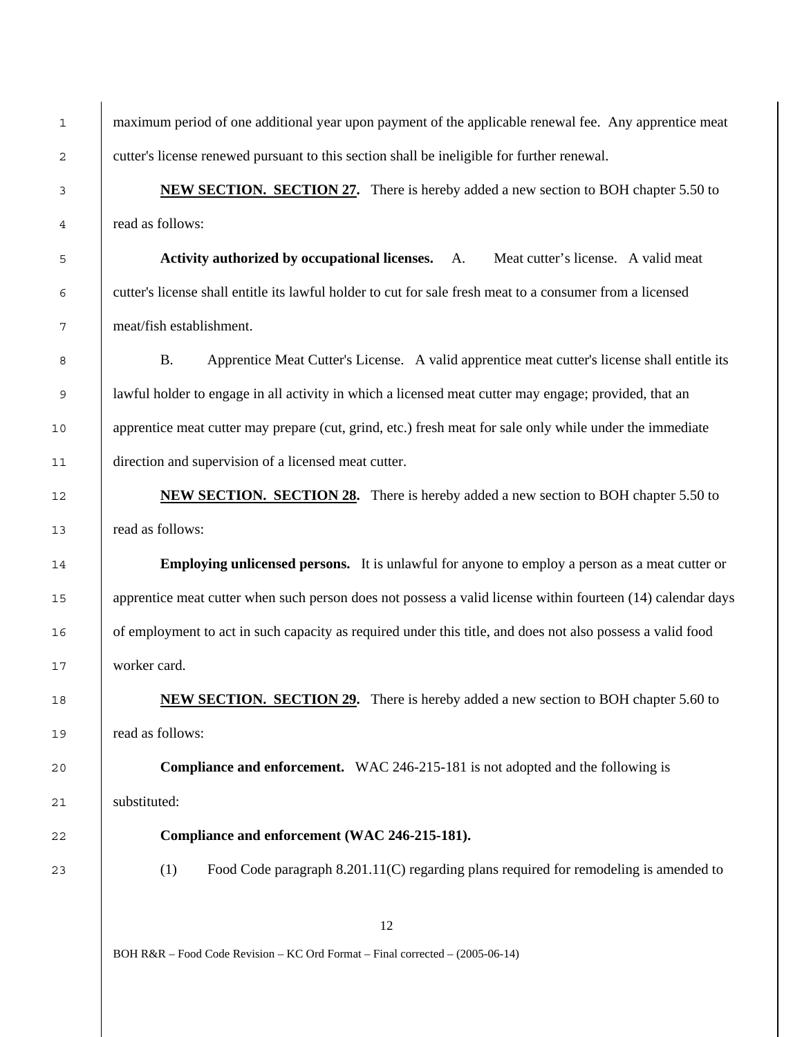1 maximum period of one additional year upon payment of the applicable renewal fee. Any apprentice meat cutter's license renewed pursuant to this section shall be ineligible for further renewal.

**NEW SECTION. SECTION 27.** There is hereby added a new section to BOH chapter 5.50 to read as follows:

**Activity authorized by occupational licenses.** A. Meat cutter's license. A valid meat cutter's license shall entitle its lawful holder to cut for sale fresh meat to a consumer from a licensed meat/fish establishment.

8 B. Apprentice Meat Cutter's License. A valid apprentice meat cutter's license shall entitle its lawful holder to engage in all activity in which a licensed meat cutter may engage; provided, that an 10 apprentice meat cutter may prepare (cut, grind, etc.) fresh meat for sale only while under the immediate direction and supervision of a licensed meat cutter.

**NEW SECTION. SECTION 28.** There is hereby added a new section to BOH chapter 5.50 to read as follows:

**Employing unlicensed persons.** It is unlawful for anyone to employ a person as a meat cutter or 15 apprentice meat cutter when such person does not possess a valid license within fourteen (14) calendar days of employment to act in such capacity as required under this title, and does not also possess a valid food worker card.

**NEW SECTION. SECTION 29.** There is hereby added a new section to BOH chapter 5.60 to read as follows:

**Compliance and enforcement.** WAC 246-215-181 is not adopted and the following is substituted:

**Compliance and enforcement (WAC 246-215-181).** 

(1) Food Code paragraph 8.201.11(C) regarding plans required for remodeling is amended to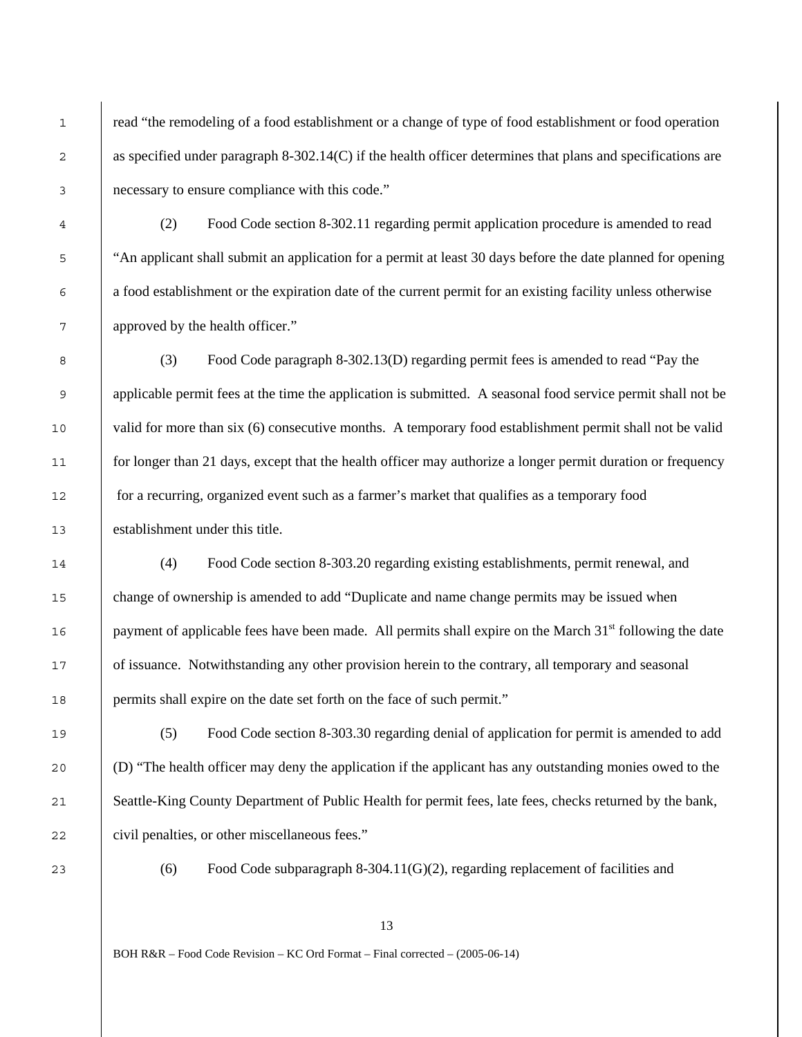1 read "the remodeling of a food establishment or a change of type of food establishment or food operation 2 as specified under paragraph 8-302.14(C) if the health officer determines that plans and specifications are necessary to ensure compliance with this code."

(2) Food Code section 8-302.11 regarding permit application procedure is amended to read <sup>5</sup> "An applicant shall submit an application for a permit at least 30 days before the date planned for opening a food establishment or the expiration date of the current permit for an existing facility unless otherwise approved by the health officer."

(3) Food Code paragraph 8-302.13(D) regarding permit fees is amended to read "Pay the applicable permit fees at the time the application is submitted. A seasonal food service permit shall not be valid for more than six (6) consecutive months. A temporary food establishment permit shall not be valid 11 for longer than 21 days, except that the health officer may authorize a longer permit duration or frequency for a recurring, organized event such as a farmer's market that qualifies as a temporary food establishment under this title.

(4) Food Code section 8-303.20 regarding existing establishments, permit renewal, and change of ownership is amended to add "Duplicate and name change permits may be issued when payment of applicable fees have been made. All permits shall expire on the March 31<sup>st</sup> following the date of issuance. Notwithstanding any other provision herein to the contrary, all temporary and seasonal permits shall expire on the date set forth on the face of such permit."

(5) Food Code section 8-303.30 regarding denial of application for permit is amended to add (D) "The health officer may deny the application if the applicant has any outstanding monies owed to the 21 Seattle-King County Department of Public Health for permit fees, late fees, checks returned by the bank, 22 civil penalties, or other miscellaneous fees."

(6) Food Code subparagraph 8-304.11(G)(2), regarding replacement of facilities and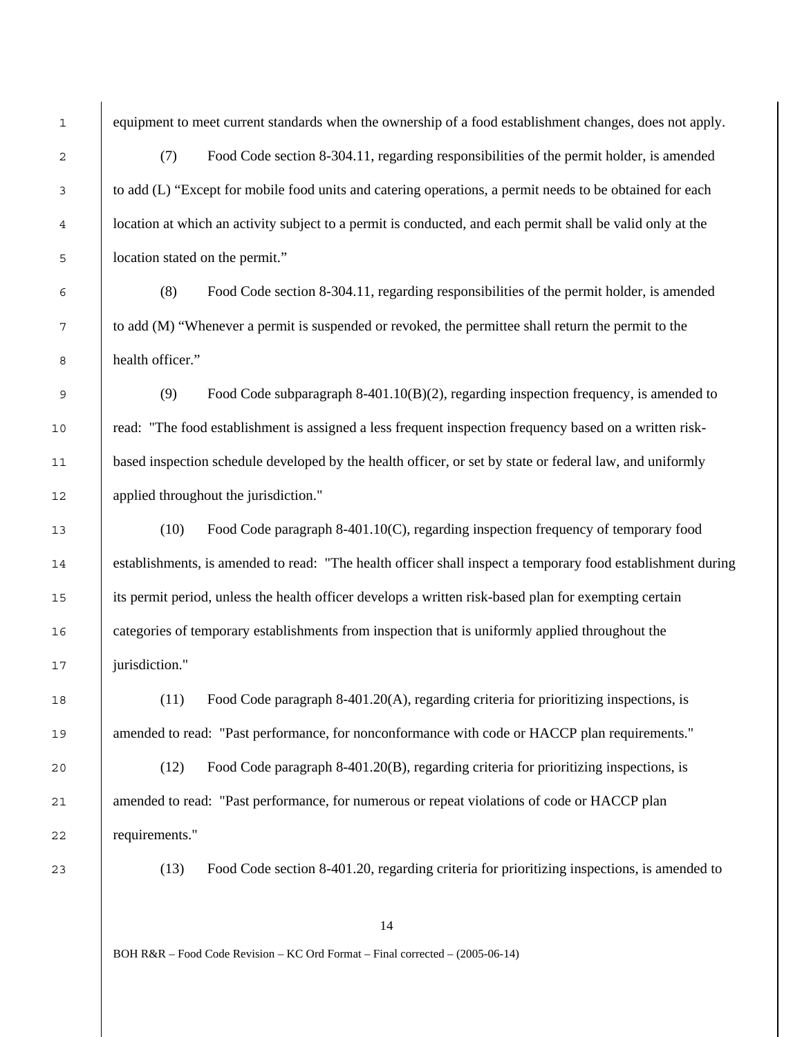1 equipment to meet current standards when the ownership of a food establishment changes, does not apply.

(7) Food Code section 8-304.11, regarding responsibilities of the permit holder, is amended to add (L) "Except for mobile food units and catering operations, a permit needs to be obtained for each location at which an activity subject to a permit is conducted, and each permit shall be valid only at the location stated on the permit."

(8) Food Code section 8-304.11, regarding responsibilities of the permit holder, is amended to add (M) "Whenever a permit is suspended or revoked, the permittee shall return the permit to the health officer."

(9) Food Code subparagraph 8-401.10(B)(2), regarding inspection frequency, is amended to read: "The food establishment is assigned a less frequent inspection frequency based on a written risk-based inspection schedule developed by the health officer, or set by state or federal law, and uniformly applied throughout the jurisdiction."

(10) Food Code paragraph 8-401.10(C), regarding inspection frequency of temporary food 14 establishments, is amended to read: "The health officer shall inspect a temporary food establishment during its permit period, unless the health officer develops a written risk-based plan for exempting certain categories of temporary establishments from inspection that is uniformly applied throughout the 17 | jurisdiction."

(11) Food Code paragraph 8-401.20(A), regarding criteria for prioritizing inspections, is amended to read: "Past performance, for nonconformance with code or HACCP plan requirements."

(12) Food Code paragraph 8-401.20(B), regarding criteria for prioritizing inspections, is 21 amended to read: "Past performance, for numerous or repeat violations of code or HACCP plan requirements."

(13) Food Code section 8-401.20, regarding criteria for prioritizing inspections, is amended to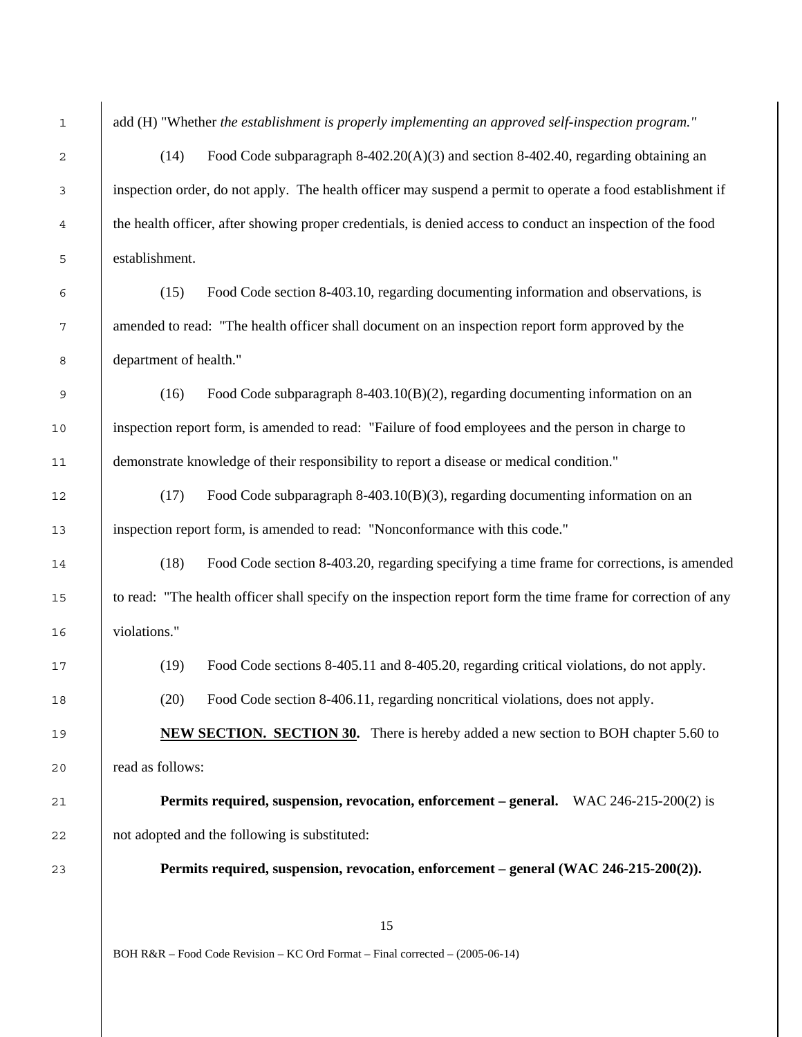inspection order, do not apply. The health officer may suspend a permit to operate a food establishment if the health officer, after showing proper credentials, is denied access to conduct an inspection of the food establishment. (15) Food Code section 8-403.10, regarding documenting information and observations, is 7 amended to read: "The health officer shall document on an inspection report form approved by the department of health." (16) Food Code subparagraph 8-403.10(B)(2), regarding documenting information on an inspection report form, is amended to read: "Failure of food employees and the person in charge to demonstrate knowledge of their responsibility to report a disease or medical condition." (17) Food Code subparagraph 8-403.10(B)(3), regarding documenting information on an inspection report form, is amended to read: "Nonconformance with this code." (18) Food Code section 8-403.20, regarding specifying a time frame for corrections, is amended 15 to read: "The health officer shall specify on the inspection report form the time frame for correction of any violations." (19) Food Code sections 8-405.11 and 8-405.20, regarding critical violations, do not apply. (20) Food Code section 8-406.11, regarding noncritical violations, does not apply. **NEW SECTION. SECTION 30.** There is hereby added a new section to BOH chapter 5.60 to read as follows:

**Permits required, suspension, revocation, enforcement – general.** WAC 246-215-200(2) is not adopted and the following is substituted:

**Permits required, suspension, revocation, enforcement – general (WAC 246-215-200(2)).** 

BOH R&R – Food Code Revision – KC Ord Format – Final corrected – (2005-06-14)

add (H) "Whether *the establishment is properly implementing an approved self-inspection program."*  2 (14) Food Code subparagraph 8-402.20(A)(3) and section 8-402.40, regarding obtaining an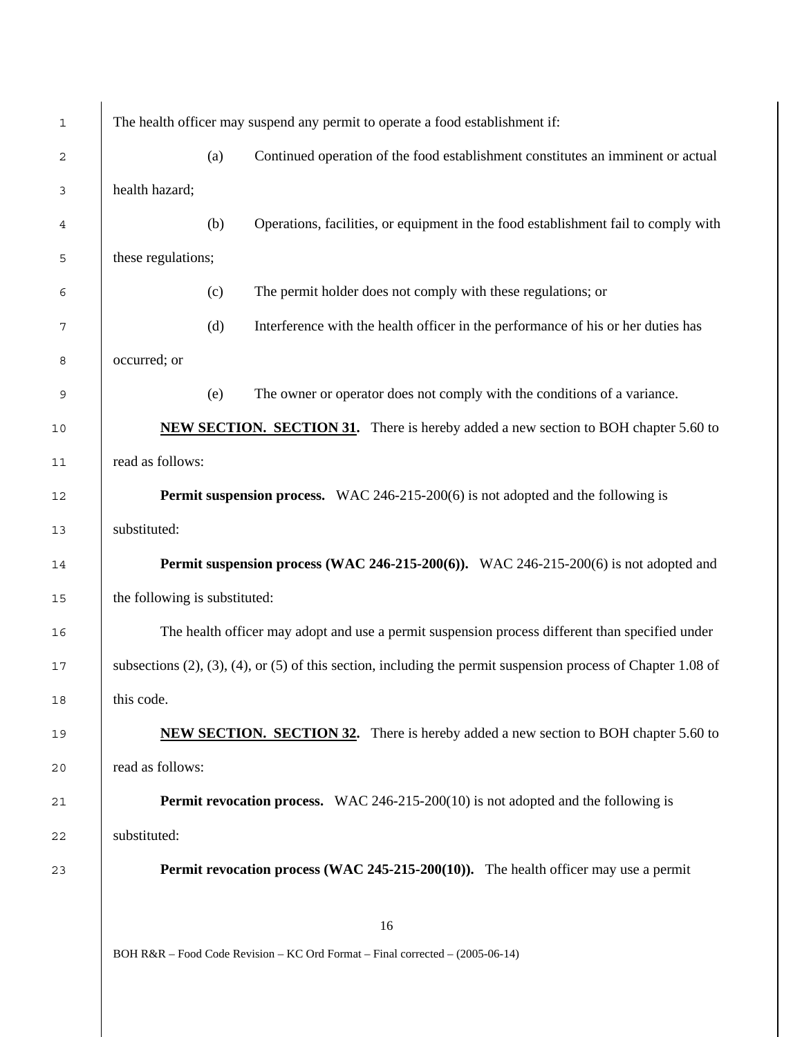| $\mathbf{1}$ | The health officer may suspend any permit to operate a food establishment if:                                            |  |  |
|--------------|--------------------------------------------------------------------------------------------------------------------------|--|--|
| 2            | Continued operation of the food establishment constitutes an imminent or actual<br>(a)                                   |  |  |
| 3            | health hazard;                                                                                                           |  |  |
| 4            | Operations, facilities, or equipment in the food establishment fail to comply with<br>(b)                                |  |  |
| 5            | these regulations;                                                                                                       |  |  |
| 6            | The permit holder does not comply with these regulations; or<br>(c)                                                      |  |  |
| 7            | (d)<br>Interference with the health officer in the performance of his or her duties has                                  |  |  |
| 8            | occurred; or                                                                                                             |  |  |
| 9            | The owner or operator does not comply with the conditions of a variance.<br>(e)                                          |  |  |
| 10           | <b>NEW SECTION. SECTION 31.</b> There is hereby added a new section to BOH chapter 5.60 to                               |  |  |
| 11           | read as follows:                                                                                                         |  |  |
| 12           | <b>Permit suspension process.</b> WAC 246-215-200(6) is not adopted and the following is                                 |  |  |
| 13           | substituted:                                                                                                             |  |  |
| 14           | <b>Permit suspension process (WAC 246-215-200(6)).</b> WAC 246-215-200(6) is not adopted and                             |  |  |
| 15           | the following is substituted:                                                                                            |  |  |
| 16           | The health officer may adopt and use a permit suspension process different than specified under                          |  |  |
| 17           | subsections $(2)$ , $(3)$ , $(4)$ , or $(5)$ of this section, including the permit suspension process of Chapter 1.08 of |  |  |
| 18           | this code.                                                                                                               |  |  |
| 19           | <b>NEW SECTION. SECTION 32.</b> There is hereby added a new section to BOH chapter 5.60 to                               |  |  |
| 20           | read as follows:                                                                                                         |  |  |
| 21           | <b>Permit revocation process.</b> WAC 246-215-200(10) is not adopted and the following is                                |  |  |
| 22           | substituted:                                                                                                             |  |  |
| 23           | <b>Permit revocation process (WAC 245-215-200(10)).</b> The health officer may use a permit                              |  |  |
|              |                                                                                                                          |  |  |
|              | 16<br>BOH R&R – Food Code Revision – KC Ord Format – Final corrected – (2005-06-14)                                      |  |  |
|              |                                                                                                                          |  |  |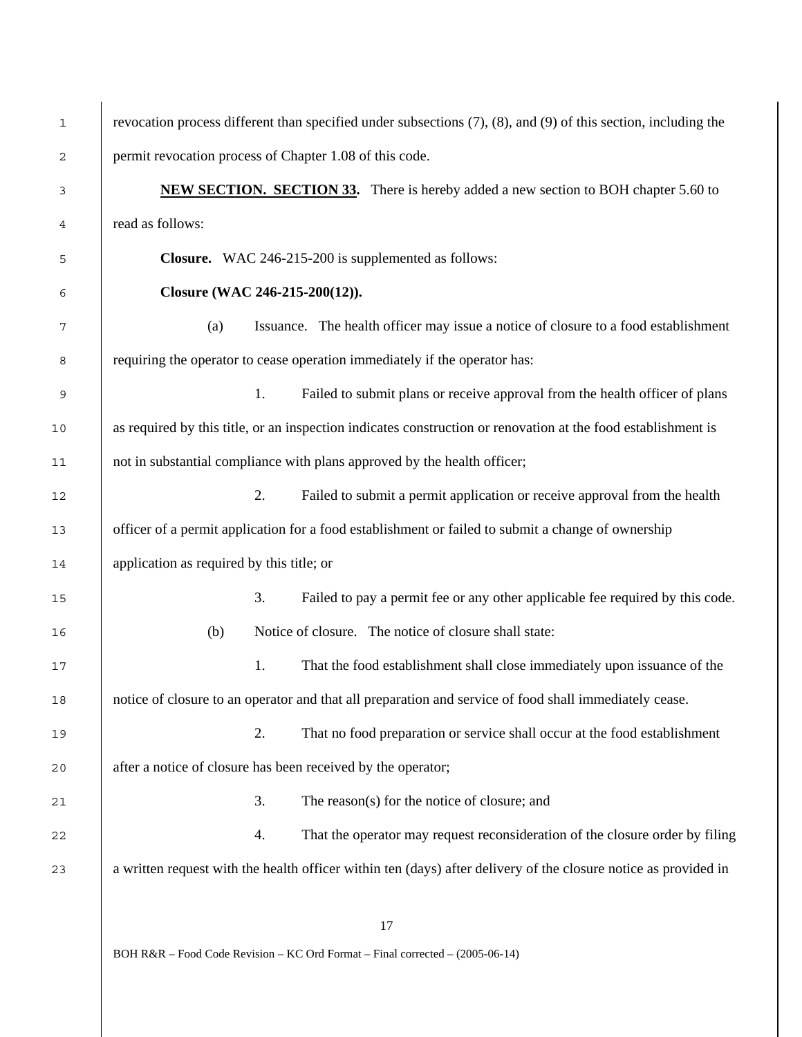| $\mathbf{1}$   | revocation process different than specified under subsections (7), (8), and (9) of this section, including the  |  |  |
|----------------|-----------------------------------------------------------------------------------------------------------------|--|--|
| $\overline{c}$ | permit revocation process of Chapter 1.08 of this code.                                                         |  |  |
| 3              | <b>NEW SECTION. SECTION 33.</b> There is hereby added a new section to BOH chapter 5.60 to                      |  |  |
| 4              | read as follows:                                                                                                |  |  |
| 5              | Closure. WAC 246-215-200 is supplemented as follows:                                                            |  |  |
| 6              | Closure (WAC 246-215-200(12)).                                                                                  |  |  |
| 7              | Issuance. The health officer may issue a notice of closure to a food establishment<br>(a)                       |  |  |
| 8              | requiring the operator to cease operation immediately if the operator has:                                      |  |  |
| 9              | 1.<br>Failed to submit plans or receive approval from the health officer of plans                               |  |  |
| 10             | as required by this title, or an inspection indicates construction or renovation at the food establishment is   |  |  |
| 11             | not in substantial compliance with plans approved by the health officer;                                        |  |  |
| 12             | 2.<br>Failed to submit a permit application or receive approval from the health                                 |  |  |
| 13             | officer of a permit application for a food establishment or failed to submit a change of ownership              |  |  |
| 14             | application as required by this title; or                                                                       |  |  |
| 15             | 3.<br>Failed to pay a permit fee or any other applicable fee required by this code.                             |  |  |
| 16             | Notice of closure. The notice of closure shall state:<br>(b)                                                    |  |  |
| 17             | That the food establishment shall close immediately upon issuance of the<br>1.                                  |  |  |
| 18             | notice of closure to an operator and that all preparation and service of food shall immediately cease.          |  |  |
| 19             | 2.<br>That no food preparation or service shall occur at the food establishment                                 |  |  |
| 20             | after a notice of closure has been received by the operator;                                                    |  |  |
| 21             | 3.<br>The reason(s) for the notice of closure; and                                                              |  |  |
| 22             | That the operator may request reconsideration of the closure order by filing<br>4.                              |  |  |
| 23             | a written request with the health officer within ten (days) after delivery of the closure notice as provided in |  |  |
|                |                                                                                                                 |  |  |
|                |                                                                                                                 |  |  |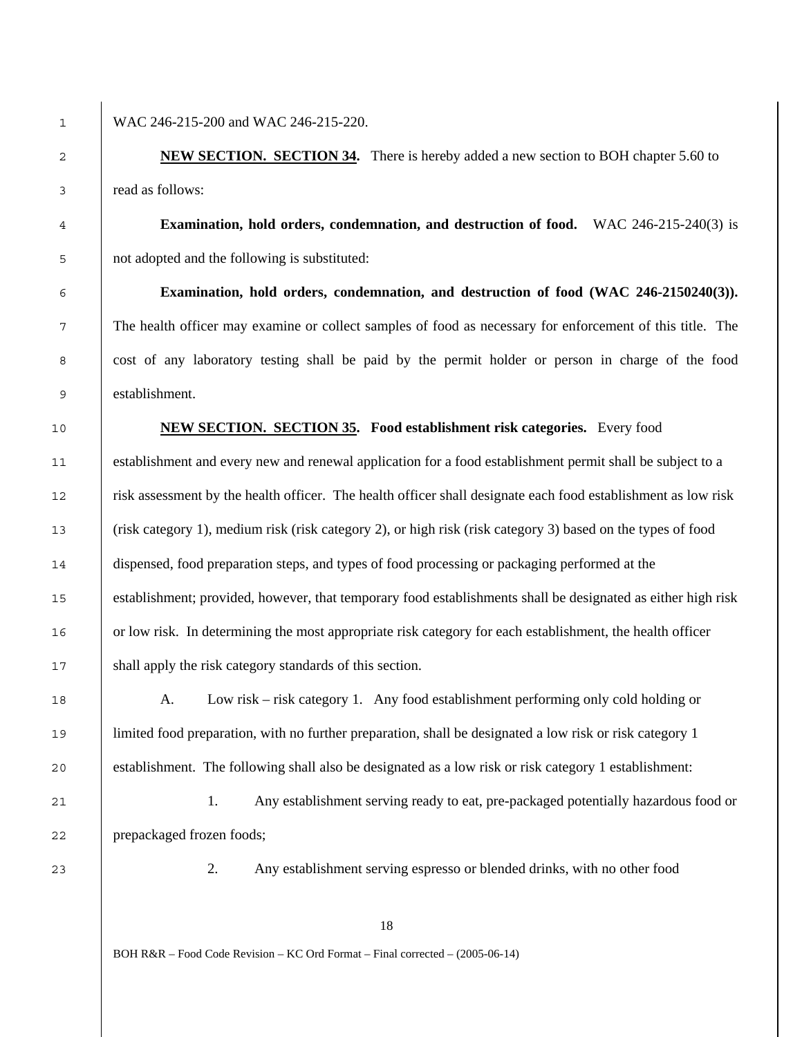## 1 WAC 246-215-200 and WAC 246-215-220.

 **NEW SECTION. SECTION 34.** There is hereby added a new section to BOH chapter 5.60 to read as follows:

**Examination, hold orders, condemnation, and destruction of food.** WAC 246-215-240(3) is not adopted and the following is substituted:

**Examination, hold orders, condemnation, and destruction of food (WAC 246-2150240(3)).** The health officer may examine or collect samples of food as necessary for enforcement of this title. The cost of any laboratory testing shall be paid by the permit holder or person in charge of the food establishment.

**NEW SECTION. SECTION 35. Food establishment risk categories.** Every food establishment and every new and renewal application for a food establishment permit shall be subject to a risk assessment by the health officer. The health officer shall designate each food establishment as low risk (risk category 1), medium risk (risk category 2), or high risk (risk category 3) based on the types of food dispensed, food preparation steps, and types of food processing or packaging performed at the 15 establishment; provided, however, that temporary food establishments shall be designated as either high risk or low risk. In determining the most appropriate risk category for each establishment, the health officer 17 Shall apply the risk category standards of this section.

A. Low risk – risk category 1. Any food establishment performing only cold holding or 19 limited food preparation, with no further preparation, shall be designated a low risk or risk category 1 establishment. The following shall also be designated as a low risk or risk category 1 establishment:

1. Any establishment serving ready to eat, pre-packaged potentially hazardous food or prepackaged frozen foods;

2. Any establishment serving espresso or blended drinks, with no other food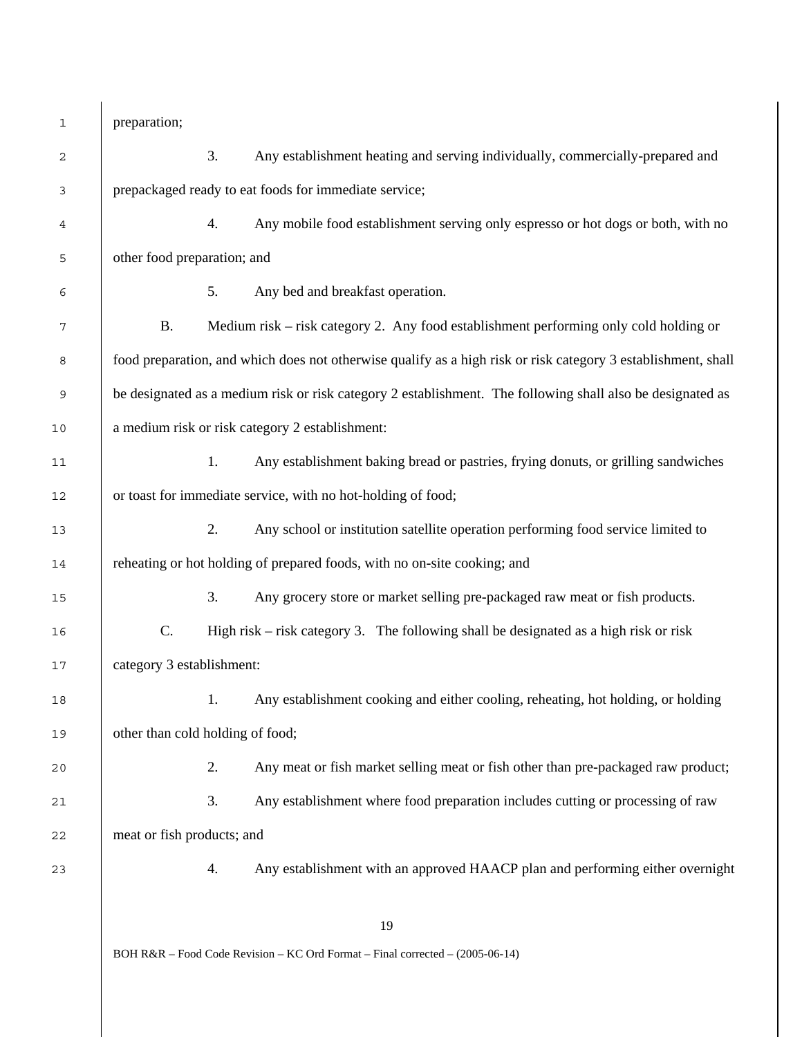1 preparation;

| $\sqrt{2}$ |                                                                                                               | 3. | Any establishment heating and serving individually, commercially-prepared and                              |  |
|------------|---------------------------------------------------------------------------------------------------------------|----|------------------------------------------------------------------------------------------------------------|--|
| 3          | prepackaged ready to eat foods for immediate service;                                                         |    |                                                                                                            |  |
| 4          |                                                                                                               | 4. | Any mobile food establishment serving only espresso or hot dogs or both, with no                           |  |
| 5          | other food preparation; and                                                                                   |    |                                                                                                            |  |
| 6          |                                                                                                               | 5. | Any bed and breakfast operation.                                                                           |  |
| 7          | <b>B.</b>                                                                                                     |    | Medium risk – risk category 2. Any food establishment performing only cold holding or                      |  |
| 8          | food preparation, and which does not otherwise qualify as a high risk or risk category 3 establishment, shall |    |                                                                                                            |  |
| 9          |                                                                                                               |    | be designated as a medium risk or risk category 2 establishment. The following shall also be designated as |  |
| 10         | a medium risk or risk category 2 establishment:                                                               |    |                                                                                                            |  |
| 11         |                                                                                                               | 1. | Any establishment baking bread or pastries, frying donuts, or grilling sandwiches                          |  |
| 12         | or toast for immediate service, with no hot-holding of food;                                                  |    |                                                                                                            |  |
| 13         |                                                                                                               | 2. | Any school or institution satellite operation performing food service limited to                           |  |
| 14         | reheating or hot holding of prepared foods, with no on-site cooking; and                                      |    |                                                                                                            |  |
| 15         |                                                                                                               | 3. | Any grocery store or market selling pre-packaged raw meat or fish products.                                |  |
| 16         | C.                                                                                                            |    | High risk – risk category 3. The following shall be designated as a high risk or risk                      |  |
| 17         | category 3 establishment:                                                                                     |    |                                                                                                            |  |
| 18         |                                                                                                               | 1. | Any establishment cooking and either cooling, reheating, hot holding, or holding                           |  |
| 19         | other than cold holding of food;                                                                              |    |                                                                                                            |  |
| 20         |                                                                                                               | 2. | Any meat or fish market selling meat or fish other than pre-packaged raw product;                          |  |
| 21         |                                                                                                               | 3. | Any establishment where food preparation includes cutting or processing of raw                             |  |
| 22         | meat or fish products; and                                                                                    |    |                                                                                                            |  |
| 23         |                                                                                                               | 4. | Any establishment with an approved HAACP plan and performing either overnight                              |  |
|            |                                                                                                               |    |                                                                                                            |  |
|            |                                                                                                               |    | 19                                                                                                         |  |
|            | BOH R&R - Food Code Revision - KC Ord Format - Final corrected - (2005-06-14)                                 |    |                                                                                                            |  |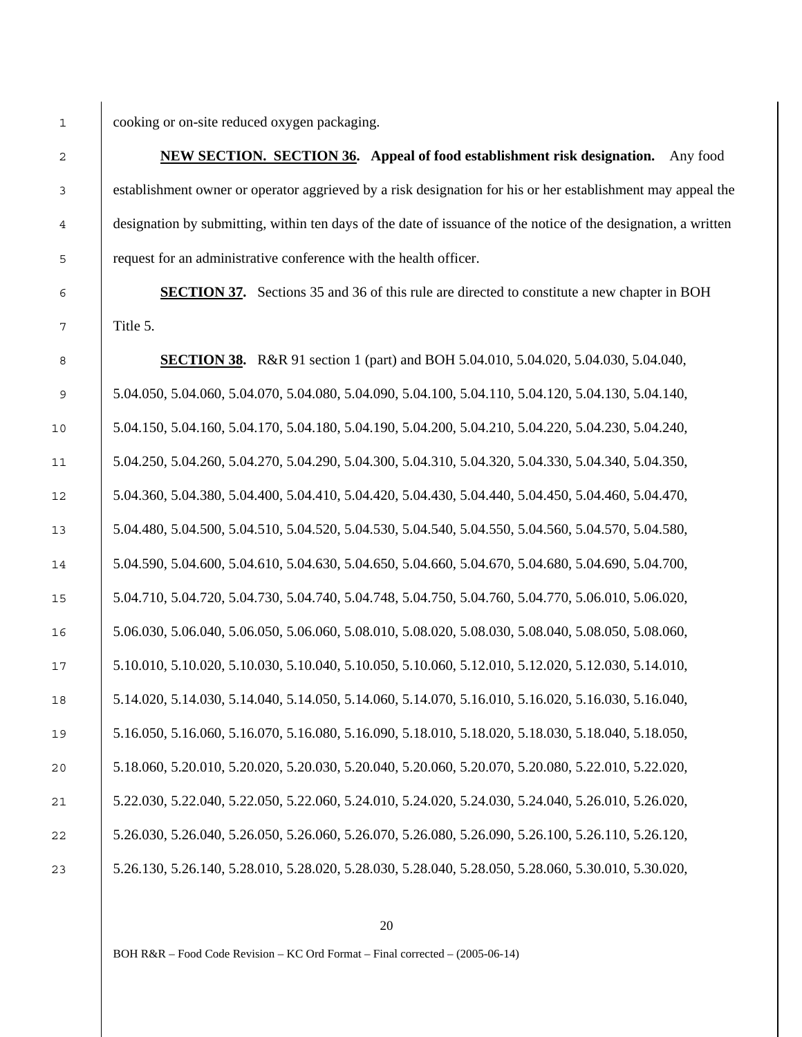cooking or on-site reduced oxygen packaging.

**NEW SECTION. SECTION 36. Appeal of food establishment risk designation.** Any food establishment owner or operator aggrieved by a risk designation for his or her establishment may appeal the designation by submitting, within ten days of the date of issuance of the notice of the designation, a written request for an administrative conference with the health officer.

**SECTION 37.** Sections 35 and 36 of this rule are directed to constitute a new chapter in BOH Title 5.

**SECTION 38.** R&R 91 section 1 (part) and BOH 5.04.010, 5.04.020, 5.04.030, 5.04.040, 5.04.050, 5.04.060, 5.04.070, 5.04.080, 5.04.090, 5.04.100, 5.04.110, 5.04.120, 5.04.130, 5.04.140, 5.04.150, 5.04.160, 5.04.170, 5.04.180, 5.04.190, 5.04.200, 5.04.210, 5.04.220, 5.04.230, 5.04.240, 5.04.250, 5.04.260, 5.04.270, 5.04.290, 5.04.300, 5.04.310, 5.04.320, 5.04.330, 5.04.340, 5.04.350, 5.04.360, 5.04.380, 5.04.400, 5.04.410, 5.04.420, 5.04.430, 5.04.440, 5.04.450, 5.04.460, 5.04.470, 5.04.480, 5.04.500, 5.04.510, 5.04.520, 5.04.530, 5.04.540, 5.04.550, 5.04.560, 5.04.570, 5.04.580, 5.04.590, 5.04.600, 5.04.610, 5.04.630, 5.04.650, 5.04.660, 5.04.670, 5.04.680, 5.04.690, 5.04.700, 5.04.710, 5.04.720, 5.04.730, 5.04.740, 5.04.748, 5.04.750, 5.04.760, 5.04.770, 5.06.010, 5.06.020, 5.06.030, 5.06.040, 5.06.050, 5.06.060, 5.08.010, 5.08.020, 5.08.030, 5.08.040, 5.08.050, 5.08.060, 5.10.010, 5.10.020, 5.10.030, 5.10.040, 5.10.050, 5.10.060, 5.12.010, 5.12.020, 5.12.030, 5.14.010, 5.14.020, 5.14.030, 5.14.040, 5.14.050, 5.14.060, 5.14.070, 5.16.010, 5.16.020, 5.16.030, 5.16.040, 5.16.050, 5.16.060, 5.16.070, 5.16.080, 5.16.090, 5.18.010, 5.18.020, 5.18.030, 5.18.040, 5.18.050, 5.18.060, 5.20.010, 5.20.020, 5.20.030, 5.20.040, 5.20.060, 5.20.070, 5.20.080, 5.22.010, 5.22.020, 5.22.030, 5.22.040, 5.22.050, 5.22.060, 5.24.010, 5.24.020, 5.24.030, 5.24.040, 5.26.010, 5.26.020, 5.26.030, 5.26.040, 5.26.050, 5.26.060, 5.26.070, 5.26.080, 5.26.090, 5.26.100, 5.26.110, 5.26.120, 5.26.130, 5.26.140, 5.28.010, 5.28.020, 5.28.030, 5.28.040, 5.28.050, 5.28.060, 5.30.010, 5.30.020,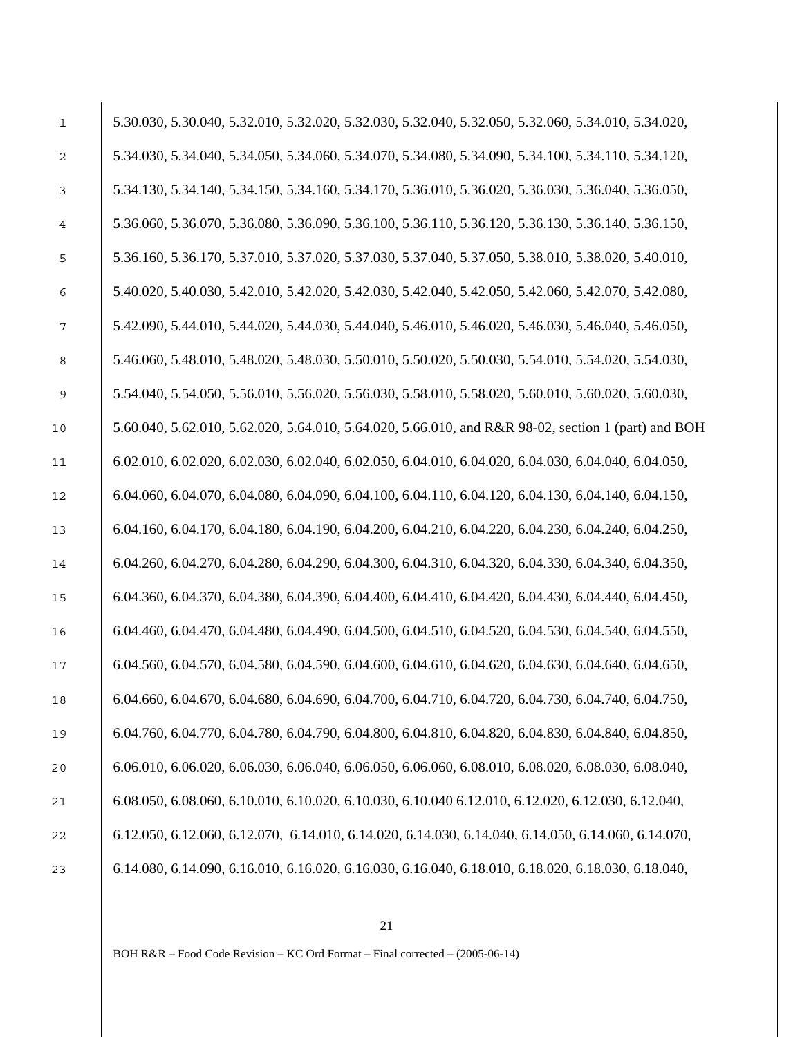| $\mathbf 1$    | 5.30.030, 5.30.040, 5.32.010, 5.32.020, 5.32.030, 5.32.040, 5.32.050, 5.32.060, 5.34.010, 5.34.020, |
|----------------|-----------------------------------------------------------------------------------------------------|
| $\overline{c}$ | 5.34.030, 5.34.040, 5.34.050, 5.34.060, 5.34.070, 5.34.080, 5.34.090, 5.34.100, 5.34.110, 5.34.120, |
| 3              | 5.34.130, 5.34.140, 5.34.150, 5.34.160, 5.34.170, 5.36.010, 5.36.020, 5.36.030, 5.36.040, 5.36.050, |
| 4              | 5.36.060, 5.36.070, 5.36.080, 5.36.090, 5.36.100, 5.36.110, 5.36.120, 5.36.130, 5.36.140, 5.36.150, |
| 5              | 5.36.160, 5.36.170, 5.37.010, 5.37.020, 5.37.030, 5.37.040, 5.37.050, 5.38.010, 5.38.020, 5.40.010, |
| 6              | 5.40.020, 5.40.030, 5.42.010, 5.42.020, 5.42.030, 5.42.040, 5.42.050, 5.42.060, 5.42.070, 5.42.080, |
| 7              | 5.42.090, 5.44.010, 5.44.020, 5.44.030, 5.44.040, 5.46.010, 5.46.020, 5.46.030, 5.46.040, 5.46.050, |
| 8              | 5.46.060, 5.48.010, 5.48.020, 5.48.030, 5.50.010, 5.50.020, 5.50.030, 5.54.010, 5.54.020, 5.54.030, |
| 9              | 5.54.040, 5.54.050, 5.56.010, 5.56.020, 5.56.030, 5.58.010, 5.58.020, 5.60.010, 5.60.020, 5.60.030, |
| 10             | 5.60.040, 5.62.010, 5.62.020, 5.64.010, 5.64.020, 5.66.010, and R&R 98-02, section 1 (part) and BOH |
| 11             | 6.02.010, 6.02.020, 6.02.030, 6.02.040, 6.02.050, 6.04.010, 6.04.020, 6.04.030, 6.04.040, 6.04.050, |
| 12             | 6.04.060, 6.04.070, 6.04.080, 6.04.090, 6.04.100, 6.04.110, 6.04.120, 6.04.130, 6.04.140, 6.04.150, |
| 13             | 6.04.160, 6.04.170, 6.04.180, 6.04.190, 6.04.200, 6.04.210, 6.04.220, 6.04.230, 6.04.240, 6.04.250, |
| 14             | 6.04.260, 6.04.270, 6.04.280, 6.04.290, 6.04.300, 6.04.310, 6.04.320, 6.04.330, 6.04.340, 6.04.350, |
| 15             | 6.04.360, 6.04.370, 6.04.380, 6.04.390, 6.04.400, 6.04.410, 6.04.420, 6.04.430, 6.04.440, 6.04.450, |
| 16             | 6.04.460, 6.04.470, 6.04.480, 6.04.490, 6.04.500, 6.04.510, 6.04.520, 6.04.530, 6.04.540, 6.04.550, |
| 17             | 6.04.560, 6.04.570, 6.04.580, 6.04.590, 6.04.600, 6.04.610, 6.04.620, 6.04.630, 6.04.640, 6.04.650, |
| 18             | 6.04.660, 6.04.670, 6.04.680, 6.04.690, 6.04.700, 6.04.710, 6.04.720, 6.04.730, 6.04.740, 6.04.750, |
| 19             | 6.04.760, 6.04.770, 6.04.780, 6.04.790, 6.04.800, 6.04.810, 6.04.820, 6.04.830, 6.04.840, 6.04.850, |
| 20             | 6.06.010, 6.06.020, 6.06.030, 6.06.040, 6.06.050, 6.06.060, 6.08.010, 6.08.020, 6.08.030, 6.08.040, |
| 21             | 6.08.050, 6.08.060, 6.10.010, 6.10.020, 6.10.030, 6.10.040 6.12.010, 6.12.020, 6.12.030, 6.12.040,  |
| 22             | 6.12.050, 6.12.060, 6.12.070, 6.14.010, 6.14.020, 6.14.030, 6.14.040, 6.14.050, 6.14.060, 6.14.070, |
| 23             | 6.14.080, 6.14.090, 6.16.010, 6.16.020, 6.16.030, 6.16.040, 6.18.010, 6.18.020, 6.18.030, 6.18.040, |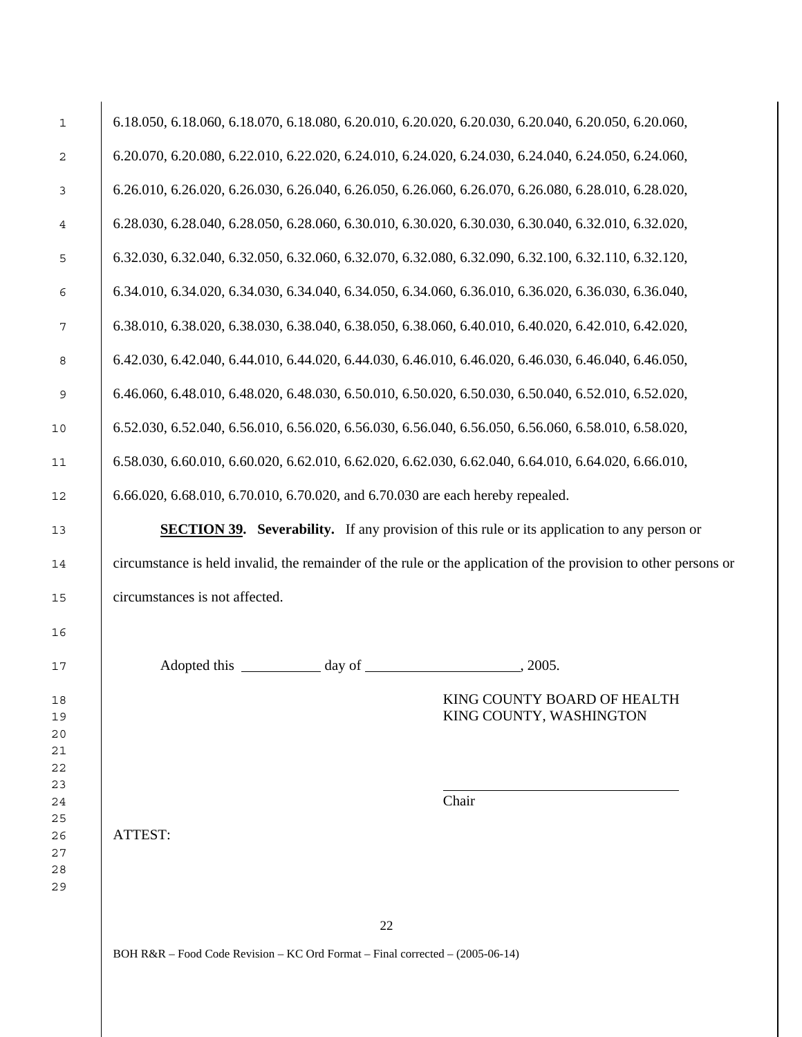| $\mathbf 1$ | 6.18.050, 6.18.060, 6.18.070, 6.18.080, 6.20.010, 6.20.020, 6.20.030, 6.20.040, 6.20.050, 6.20.060,             |                                                        |  |  |
|-------------|-----------------------------------------------------------------------------------------------------------------|--------------------------------------------------------|--|--|
| 2           | 6.20.070, 6.20.080, 6.22.010, 6.22.020, 6.24.010, 6.24.020, 6.24.030, 6.24.040, 6.24.050, 6.24.060,             |                                                        |  |  |
| 3           | 6.26.010, 6.26.020, 6.26.030, 6.26.040, 6.26.050, 6.26.060, 6.26.070, 6.26.080, 6.28.010, 6.28.020,             |                                                        |  |  |
| 4           | 6.28.030, 6.28.040, 6.28.050, 6.28.060, 6.30.010, 6.30.020, 6.30.030, 6.30.040, 6.32.010, 6.32.020,             |                                                        |  |  |
| 5           | 6.32.030, 6.32.040, 6.32.050, 6.32.060, 6.32.070, 6.32.080, 6.32.090, 6.32.100, 6.32.110, 6.32.120,             |                                                        |  |  |
| 6           | 6.34.010, 6.34.020, 6.34.030, 6.34.040, 6.34.050, 6.34.060, 6.36.010, 6.36.020, 6.36.030, 6.36.040,             |                                                        |  |  |
| 7           | 6.38.010, 6.38.020, 6.38.030, 6.38.040, 6.38.050, 6.38.060, 6.40.010, 6.40.020, 6.42.010, 6.42.020,             |                                                        |  |  |
| 8           | 6.42.030, 6.42.040, 6.44.010, 6.44.020, 6.44.030, 6.46.010, 6.46.020, 6.46.030, 6.46.040, 6.46.050,             |                                                        |  |  |
| 9           | 6.46.060, 6.48.010, 6.48.020, 6.48.030, 6.50.010, 6.50.020, 6.50.030, 6.50.040, 6.52.010, 6.52.020,             |                                                        |  |  |
| 10          | 6.52.030, 6.52.040, 6.56.010, 6.56.020, 6.56.030, 6.56.040, 6.56.050, 6.56.060, 6.58.010, 6.58.020,             |                                                        |  |  |
| 11          | 6.58.030, 6.60.010, 6.60.020, 6.62.010, 6.62.020, 6.62.030, 6.62.040, 6.64.010, 6.64.020, 6.66.010,             |                                                        |  |  |
| 12          | 6.66.020, 6.68.010, 6.70.010, 6.70.020, and 6.70.030 are each hereby repealed.                                  |                                                        |  |  |
| 13          | <b>SECTION 39.</b> Severability. If any provision of this rule or its application to any person or              |                                                        |  |  |
| 14          | circumstance is held invalid, the remainder of the rule or the application of the provision to other persons or |                                                        |  |  |
| 15          | circumstances is not affected.                                                                                  |                                                        |  |  |
| 16          |                                                                                                                 |                                                        |  |  |
| 17          | Adopted this day of                                                                                             | 2005.                                                  |  |  |
| 18          |                                                                                                                 | KING COUNTY BOARD OF HEALTH<br>KING COUNTY, WASHINGTON |  |  |
| 19          |                                                                                                                 |                                                        |  |  |
| 20          |                                                                                                                 |                                                        |  |  |
| 21          |                                                                                                                 |                                                        |  |  |
| 22          |                                                                                                                 |                                                        |  |  |
| 23          |                                                                                                                 |                                                        |  |  |
| 24          |                                                                                                                 | Chair                                                  |  |  |
| 25          |                                                                                                                 |                                                        |  |  |
| 26          | ATTEST:                                                                                                         |                                                        |  |  |
| 27          |                                                                                                                 |                                                        |  |  |
| 28          |                                                                                                                 |                                                        |  |  |
| 29          |                                                                                                                 |                                                        |  |  |
|             |                                                                                                                 |                                                        |  |  |
|             | 22                                                                                                              |                                                        |  |  |
|             |                                                                                                                 |                                                        |  |  |